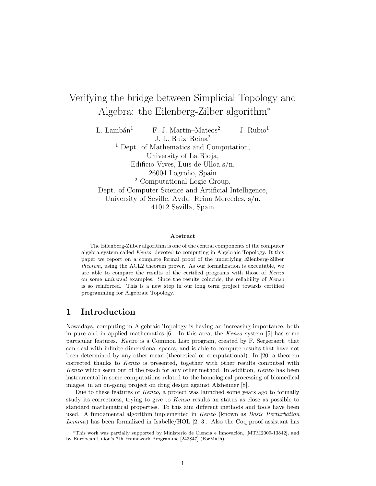# Verifying the bridge between Simplicial Topology and Algebra: the Eilenberg-Zilber algorithm<sup>∗</sup>

L. Lambán<sup>1</sup> F. J. Martín–Mateos<sup>2</sup> J. Rubio<sup>1</sup> J. L. Ruiz–Reina<sup>2</sup> <sup>1</sup> Dept. of Mathematics and Computation, University of La Rioja, Edificio Vives, Luis de Ulloa s/n. 26004 Logroño, Spain <sup>2</sup> Computational Logic Group, Dept. of Computer Science and Artificial Intelligence, University of Seville, Avda. Reina Mercedes, s/n. 41012 Sevilla, Spain

#### Abstract

The Eilenberg-Zilber algorithm is one of the central components of the computer algebra system called Kenzo, devoted to computing in Algebraic Topology. It this paper we report on a complete formal proof of the underlying Eilenberg-Zilber theorem, using the ACL2 theorem prover. As our formalization is executable, we are able to compare the results of the certified programs with those of Kenzo on some *universal* examples. Since the results coincide, the reliability of Kenzo is so reinforced. This is a new step in our long term project towards certified programming for Algebraic Topology.

## 1 Introduction

Nowadays, computing in Algebraic Topology is having an increasing importance, both in pure and in applied mathematics  $[6]$ . In this area, the *Kenzo* system  $[5]$  has some particular features. Kenzo is a Common Lisp program, created by F. Sergeraert, that can deal with infinite dimensional spaces, and is able to compute results that have not been determined by any other mean (theoretical or computational). In [20] a theorem corrected thanks to Kenzo is presented, together with other results computed with Kenzo which seem out of the reach for any other method. In addition, Kenzo has been instrumental in some computations related to the homological processing of biomedical images, in an on-going project on drug design against Alzheimer [8].

Due to these features of Kenzo, a project was launched some years ago to formally study its correctness, trying to give to Kenzo results an status as close as possible to standard mathematical properties. To this aim different methods and tools have been used. A fundamental algorithm implemented in Kenzo (known as Basic Perturbation Lemma) has been formalized in Isabelle/HOL  $[2, 3]$ . Also the Coq proof assistant has

<sup>\*</sup>This work was partially supported by Ministerio de Ciencia e Innovación, [MTM2009-13842], and by European Union's 7th Framework Programme [243847] (ForMath).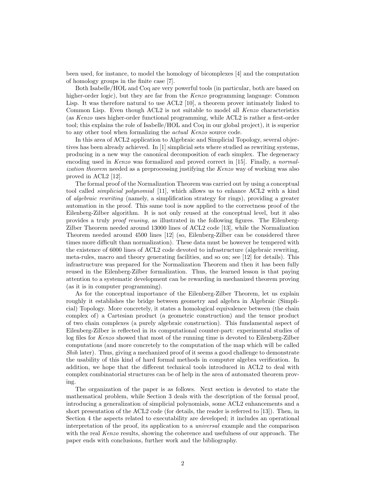been used, for instance, to model the homology of bicomplexes [4] and the computation of homology groups in the finite case [7].

Both Isabelle/HOL and Coq are very powerful tools (in particular, both are based on higher-order logic), but they are far from the *Kenzo* programming language: Common Lisp. It was therefore natural to use ACL2 [10], a theorem prover intimately linked to Common Lisp. Even though ACL2 is not suitable to model all Kenzo characteristics (as Kenzo uses higher-order functional programming, while ACL2 is rather a first-order tool; this explains the role of Isabelle/HOL and Coq in our global project), it is superior to any other tool when formalizing the actual Kenzo source code.

In this area of ACL2 application to Algebraic and Simplicial Topology, several objectives has been already achieved. In [1] simplicial sets where studied as rewriting systems, producing in a new way the canonical decomposition of each simplex. The degeneracy encoding used in Kenzo was formalized and proved correct in [15]. Finally, a normalization theorem needed as a preprocessing justifying the Kenzo way of working was also proved in ACL2 [12].

The formal proof of the Normalization Theorem was carried out by using a conceptual tool called simplicial polynomial [11], which allows us to enhance ACL2 with a kind of algebraic rewriting (namely, a simplification strategy for rings), providing a greater automation in the proof. This same tool is now applied to the correctness proof of the Eilenberg-Zilber algorithm. It is not only reused at the conceptual level, but it also provides a truly proof reusing, as illustrated in the following figures. The Eilenberg-Zilber Theorem needed around 13000 lines of ACL2 code [13], while the Normalization Theorem needed around 4500 lines [12] (so, Eilenberg-Zilber can be considered three times more difficult than normalization). These data must be however be tempered with the existence of 6000 lines of ACL2 code devoted to infrastructure (algebraic rewriting, meta-rules, macro and theory generating facilities, and so on; see [12] for details). This infrastructure was prepared for the Normalization Theorem and then it has been fully reused in the Eilenberg-Zilber formalization. Thus, the learned lesson is that paying attention to a systematic development can be rewarding in mechanized theorem proving (as it is in computer programming).

As for the conceptual importance of the Eilenberg-Zilber Theorem, let us explain roughly it establishes the bridge between geometry and algebra in Algebraic (Simplicial) Topology. More concretely, it states a homological equivalence between (the chain complex of) a Cartesian product (a geometric construction) and the tensor product of two chain complexes (a purely algebraic construction). This fundamental aspect of Eilenberg-Zilber is reflected in its computational counter-part: experimental studies of log files for Kenzo showed that most of the running time is devoted to Eilenberg-Zilber computations (and more concretely to the computation of the map which will be called Shih later). Thus, giving a mechanized proof of it seems a good challenge to demonstrate the usability of this kind of hard formal methods in computer algebra verification. In addition, we hope that the different technical tools introduced in ACL2 to deal with complex combinatorial structures can be of help in the area of automated theorem proving.

The organization of the paper is as follows. Next section is devoted to state the mathematical problem, while Section 3 deals with the description of the formal proof, introducing a generalization of simplicial polynomials, some ACL2 enhancements and a short presentation of the ACL2 code (for details, the reader is referred to [13]). Then, in Section 4 the aspects related to executability are developed; it includes an operational interpretation of the proof, its application to a universal example and the comparison with the real Kenzo results, showing the coherence and usefulness of our approach. The paper ends with conclusions, further work and the bibliography.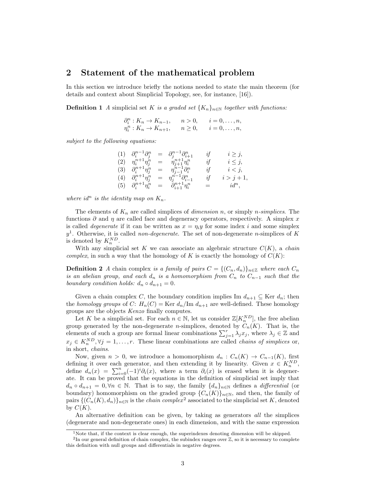### 2 Statement of the mathematical problem

In this section we introduce briefly the notions needed to state the main theorem (for details and context about Simplicial Topology, see, for instance, [16]).

**Definition 1** A simplicial set K is a graded set  $\{K_n\}_{n\in\mathbb{N}}$  together with functions:

| $\partial_i^n: K_n \to K_{n-1},$ | n>0,         | $i=0,\ldots,n,$ |
|----------------------------------|--------------|-----------------|
| $\eta_i^n: K_n \to K_{n+1},$     | $n \geq 0$ , | $i=0,\ldots,n,$ |

subject to the following equations:

|     | (1) $\partial_i^{n-1} \partial_j^n$ | $=$ | $\partial_i^{n-1}\partial_{i+1}^n$ | if  | $i \geq j$ , |
|-----|-------------------------------------|-----|------------------------------------|-----|--------------|
| (2) | $\eta_i^{n+1}\eta_j^n$              | $=$ | $\eta_{j+1}^{n+1}\eta_i^n$         | if  | $i\leq j$ ,  |
| (3) | $\partial_i^{n+1} \eta_j^n$         | $=$ | $\eta_{j-1}^{n-1}\partial_i^n$     | if  | $i < j$ ,    |
| (4) | $\partial_i^{n+1} \eta_j^n$         | $=$ | $\eta^{n-1}_{i}\partial_{i-1}^{n}$ | if  | $i > j + 1,$ |
| (5) | $\partial_i^{n+1} \eta_i^n$         | $=$ | $\partial_{i+1}^{n+1}\eta_i^n$     | $=$ | $id^n$ ,     |

where id<sup>n</sup> is the identity map on  $K_n$ .

The elements of  $K_n$  are called simplices of *dimension n*, or simply *n*-simplices. The functions  $\partial$  and  $\eta$  are called face and degeneracy operators, respectively. A simplex x is called *degenerate* if it can be written as  $x = \eta_i y$  for some index i and some simplex  $y<sup>1</sup>$ . Otherwise, it is called *non-degenerate*. The set of non-degenerate *n*-simplices of K is denoted by  $K_n^{ND}$ .

With any simplicial set K we can associate an algebraic structure  $C(K)$ , a *chain* complex, in such a way that the homology of K is exactly the homology of  $C(K)$ :

**Definition 2** A chain complex is a family of pairs  $C = \{(C_n, d_n)\}_{n \in \mathbb{Z}}$  where each  $C_n$ is an abelian group, and each  $d_n$  is a homomorphism from  $C_n$  to  $C_{n-1}$  such that the boundary condition holds:  $d_n \circ d_{n+1} = 0$ .

Given a chain complex C, the boundary condition implies Im  $d_{n+1} \subseteq$  Ker  $d_n$ ; then the homology groups of C:  $H_n(C) = \text{Ker } d_n / \text{Im } d_{n+1}$  are well-defined. These homology groups are the objects Kenzo finally computes.

Let K be a simplicial set. For each  $n \in \mathbb{N}$ , let us consider  $\mathbb{Z}[K_n^{ND}]$ , the free abelian group generated by the non-degenerate *n*-simplices, denoted by  $C_n(K)$ . That is, the elements of such a group are formal linear combinations  $\sum_{j=1}^{r} \lambda_j x_j$ , where  $\lambda_j \in \mathbb{Z}$  and  $x_j \in K_n^{ND}, \forall j = 1, \ldots, r$ . These linear combinations are called *chains of simplices* or, in short, chains.

Now, given  $n > 0$ , we introduce a homomorphism  $d_n : C_n(K) \to C_{n-1}(K)$ , first defining it over each generator, and then extending it by linearity. Given  $x \in K_n^{ND}$ , define  $d_n(x) = \sum_{i=0}^n (-1)^i \partial_i(x)$ , where a term  $\partial_i(x)$  is erased when it is degenerate. It can be proved that the equations in the definition of simplicial set imply that  $d_n \circ d_{n+1} = 0, \forall n \in \mathbb{N}$ . That is to say, the family  $\{d_n\}_{n\in\mathbb{N}}$  defines a *differential* (or boundary) homomorphism on the graded group  ${C_n(K)}_{n\in\mathbb{N}}$ , and then, the family of pairs  $\{(C_n(K), d_n)\}_{n\in\mathbb{N}}$  is the *chain complex*<sup>2</sup> associated to the simplicial set K, denoted by  $C(K)$ .

An alternative definition can be given, by taking as generators all the simplices (degenerate and non-degenerate ones) in each dimension, and with the same expression

<sup>&</sup>lt;sup>1</sup>Note that, if the context is clear enough, the superindexes denoting dimension will be skipped.

<sup>&</sup>lt;sup>2</sup>In our general definition of chain complex, the subindex ranges over  $\mathbb{Z}$ , so it is necessary to complete this definition with null groups and differentials in negative degrees.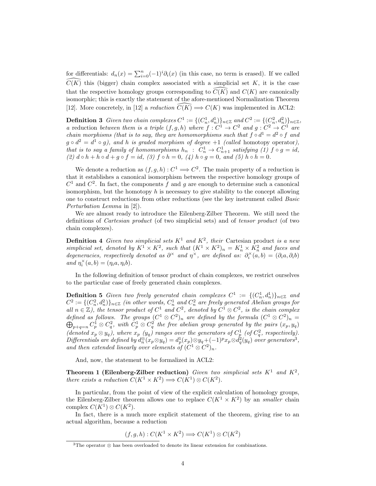for differentials:  $d_n(x) = \sum_{i=0}^n (-1)^i \partial_i(x)$  (in this case, no term is erased). If we called  $\overline{C(K)}$  this (bigger) chain complex associated with a simplicial set K, it is the case that the respective homology groups corresponding to  $C(K)$  and  $C(K)$  are canonically isomorphic; this is exactly the statement of the afore-mentioned Normalization Theorem [12]. More concretely, in [12] a *reduction*  $\widetilde{C}(K) \Longrightarrow C(K)$  was implemented in ACL2:

**Definition 3** Given two chain complexes  $C^1 := \{(C_n^1, d_n^1)\}_{n \in \mathbb{Z}}$  and  $C^2 := \{(C_n^2, d_n^2)\}_{n \in \mathbb{Z}}$ , a reduction between them is a triple  $(f, g, h)$  where  $f : C^1 \to C^2$  and  $g : C^2 \to C^1$  are chain morphisms (that is to say, they are homomorphisms such that  $f \circ d^1 = d^2 \circ f$  and  $g \circ d^2 = d^1 \circ g$ , and h is graded morphism of degree  $+1$  (called homotopy operator), that is to say a family of homomorphisms  $h_n$ :  $C_n^1 \to C_{n+1}^1$  satisfying (1)  $f \circ g = id$ , (2)  $d \circ h + h \circ d + g \circ f = id$ , (3)  $f \circ h = 0$ , (4)  $h \circ g = 0$ , and (5)  $h \circ h = 0$ .

We denote a reduction as  $(f, g, h): C^1 \longrightarrow C^2$ . The main property of a reduction is that it establishes a canonical isomorphism between the respective homology groups of  $C<sup>1</sup>$  and  $C<sup>2</sup>$ . In fact, the components f and g are enough to determine such a canonical isomorphism, but the homotopy  $h$  is necessary to give stability to the concept allowing one to construct reductions from other reductions (see the key instrument called Basic Perturbation Lemma in [2]).

We are almost ready to introduce the Eilenberg-Zilber Theorem. We still need the definitions of Cartesian product (of two simplicial sets) and of tensor product (of two chain complexes).

**Definition 4** Given two simplicial sets  $K^1$  and  $K^2$ , their Cartesian product is a new simplicial set, denoted by  $K^1 \times K^2$ , such that  $(K^1 \times K^2)_n = K^1_n \times K^2_n$  and faces and degeneracies, respectively denoted as  $\partial^{\times}$  and  $\eta^{\times}$ , are defined as:  $\partial_i^{\times}(a,b) = (\partial_i a, \partial_i b)$ and  $\eta_i^{\times}(a,b) = (\eta_i a, \eta_i b).$ 

In the following definition of tensor product of chain complexes, we restrict ourselves to the particular case of freely generated chain complexes.

**Definition 5** Given two freely generated chain complexes  $C^1 := \{ (C_n^1, d_n^1) \}_{n \in \mathbb{Z}}$  and  $C^2:=\{(C^2_n,d^2_n)\}_{n\in\mathbb{Z}}$  (in other words,  $C^1_n$  and  $C^2_n$  are freely generated Abelian groups for all  $n \in \mathbb{Z}$ ), the tensor product of  $C^1$  and  $C^2$ , denoted by  $C^1 \otimes C^2$ , is the chain complex defined as follows. The groups  $(C^1 \otimes C^2)_n$  are defined by the formula  $(C^1 \otimes C^2)_n =$  $\bigoplus_{p+q=n} C_p^1 \otimes C_q^2$ , with  $C_p^1 \otimes C_q^2$  the free abelian group generated by the pairs  $(x_p, y_q)$ (denoted  $x_p \otimes y_q$ ), where  $x_p$  ( $y_q$ ) ranges over the generators of  $C_p^1$  (of  $C_q^2$ , respectively). Differentials are defined by  $d_n^{\otimes}(x_p \otimes y_q) = d_p^1(x_p) \otimes y_q + (-1)^p x_p \otimes d_q^2(y_q)$  over generators<sup>3</sup>, and then extended linearly over elements of  $(C^1 \otimes C^2)_n$ .

And, now, the statement to be formalized in ACL2:

**Theorem 1 (Eilenberg-Zilber reduction)** Given two simplicial sets  $K^1$  and  $K^2$ , there exists a reduction  $C(K^1 \times K^2) \Longrightarrow C(K^1) \otimes C(K^2)$ .

In particular, from the point of view of the explicit calculation of homology groups, the Eilenberg-Zilber theorem allows one to replace  $C(K^1 \times K^2)$  by an *smaller* chain complex  $C(K^1) \otimes C(K^2)$ .

In fact, there is a much more explicit statement of the theorem, giving rise to an actual algorithm, because a reduction

$$
(f, g, h) : C(K^1 \times K^2) \Longrightarrow C(K^1) \otimes C(K^2)
$$

<sup>3</sup>The operator ⊗ has been overloaded to denote its linear extension for combinations.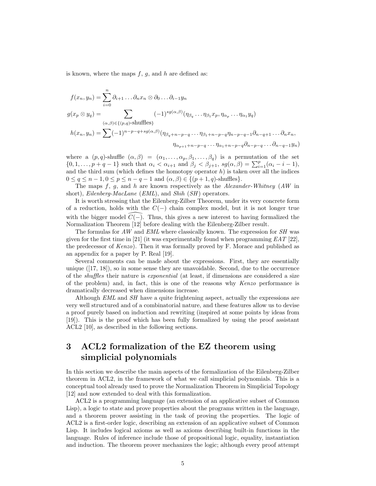is known, where the maps  $f, g$ , and h are defined as:

$$
f(x_n, y_n) = \sum_{i=0}^n \partial_{i+1} \dots \partial_n x_n \otimes \partial_0 \dots \partial_{i-1} y_n
$$
  
\n
$$
g(x_p \otimes y_q) = \sum_{(\alpha, \beta) \in \{(p,q)\}\text{-shuffles}\}} (-1)^{sg(\alpha, \beta)} (\eta_{\beta_q} \dots \eta_{\beta_1} x_p, \eta_{\alpha_p} \dots \eta_{\alpha_1} y_q)
$$
  
\n
$$
h(x_n, y_n) = \sum_{(n,q) \in \{(p,q)\}\{n-p-q+sg(\alpha, \beta)\}} (\eta_{\beta_q+n-p-q} \dots \eta_{\beta_1+n-p-q} \eta_{n-p-q-1} \partial_{n-q+1} \dots \partial_n x_n, \eta_{\beta_1+n-p-q} \dots \eta_{\alpha_1+n-p-q} \partial_{n-p-q} \dots \partial_{n-q-1} y_n)
$$

where a  $(p, q)$ -shuffle  $(\alpha, \beta) = (\alpha_1, \ldots, \alpha_p, \beta_1, \ldots, \beta_q)$  is a permutation of the set  $\{0, 1, \ldots, p+q-1\}$  such that  $\alpha_i < \alpha_{i+1}$  and  $\beta_j < \beta_{j+1}$ ,  $sg(\alpha, \beta) = \sum_{i=1}^p (\alpha_i - i - 1)$ , and the third sum (which defines the homotopy operator  $h$ ) is taken over all the indices  $0 \le q \le n-1, 0 \le p \le n-q-1$  and  $(\alpha, \beta) \in \{(p+1, q)\text{-shuffles}\}.$ 

The maps f, g, and h are known respectively as the Alexander-Whitney (AW in short), *Eilenberg-MacLane* (*EML*), and *Shih* (*SH*) operators.

It is worth stressing that the Eilenberg-Zilber Theorem, under its very concrete form of a reduction, holds with the  $C(-)$  chain complex model, but it is not longer true with the bigger model  $C(-)$ . Thus, this gives a new interest to having formalized the Normalization Theorem [12] before dealing with the Eilenberg-Zilber result.

The formulas for  $AW$  and  $EML$  where classically known. The expression for  $SH$  was given for the first time in [21] (it was experimentally found when programming  $EAT$  [22], the predecessor of Kenzo). Then it was formally proved by F. Morace and published as an appendix for a paper by P. Real [19].

Several comments can be made about the expressions. First, they are essentially unique  $([17, 18])$ , so in some sense they are unavoidable. Second, due to the occurrence of the shuffles their nature is exponential (at least, if dimensions are considered a size of the problem) and, in fact, this is one of the reasons why Kenzo performance is dramatically decreased when dimensions increase.

Although EML and SH have a quite frightening aspect, actually the expressions are very well structured and of a combinatorial nature, and these features allow us to devise a proof purely based on induction and rewriting (inspired at some points by ideas from [19]). This is the proof which has been fully formalized by using the proof assistant ACL2 [10], as described in the following sections.

## 3 ACL2 formalization of the EZ theorem using simplicial polynomials

In this section we describe the main aspects of the formalization of the Eilenberg-Zilber theorem in ACL2, in the framework of what we call simplicial polynomials. This is a conceptual tool already used to prove the Normalization Theorem in Simplicial Topology [12] and now extended to deal with this formalization.

ACL2 is a programming language (an extension of an applicative subset of Common Lisp), a logic to state and prove properties about the programs written in the language, and a theorem prover assisting in the task of proving the properties. The logic of ACL2 is a first-order logic, describing an extension of an applicative subset of Common Lisp. It includes logical axioms as well as axioms describing built-in functions in the language. Rules of inference include those of propositional logic, equality, instantiation and induction. The theorem prover mechanizes the logic; although every proof attempt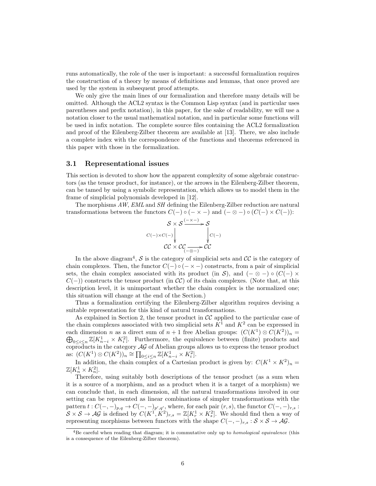runs automatically, the role of the user is important: a successful formalization requires the construction of a theory by means of definitions and lemmas, that once proved are used by the system in subsequent proof attempts.

We only give the main lines of our formalization and therefore many details will be omitted. Although the ACL2 syntax is the Common Lisp syntax (and in particular uses parentheses and prefix notation), in this paper, for the sake of readability, we will use a notation closer to the usual mathematical notation, and in particular some functions will be used in infix notation. The complete source files containing the ACL2 formalization and proof of the Eilenberg-Zilber theorem are available at [13]. There, we also include a complete index with the correspondence of the functions and theorems referenced in this paper with those in the formalization.

#### 3.1 Representational issues

This section is devoted to show how the apparent complexity of some algebraic constructors (as the tensor product, for instance), or the arrows in the Eilenberg-Zilber theorem, can be tamed by using a symbolic representation, which allows us to model them in the frame of simplicial polynomials developed in [12].

The morphisms AW, EML and SH defining the Eilenberg-Zilber reduction are natural transformations between the functors  $C(-) \circ (- \times -)$  and  $(- \otimes -) \circ (C(-) \times C(-))$ :

$$
\mathcal{S} \times \mathcal{S} \xrightarrow{(- \times -)} \mathcal{S}
$$
  
\n
$$
C(-) \times C(-) \qquad \qquad \downarrow \qquad C(-)
$$
  
\n
$$
CC \times CC \xrightarrow{(- \otimes -)} CC
$$

In the above diagram<sup>4</sup>, S is the category of simplicial sets and CC is the category of chain complexes. Then, the functor  $C(-) \circ (- \times -)$  constructs, from a pair of simplicial sets, the chain complex associated with its product (in S), and  $(- \otimes -) \circ (C(-) \times$  $C(-)$ ) constructs the tensor product (in  $\mathcal{CC}$ ) of its chain complexes. (Note that, at this description level, it is unimportant whether the chain complex is the normalized one; this situation will change at the end of the Section.)

Thus a formalization certifying the Eilenberg-Zilber algorithm requires devising a suitable representation for this kind of natural transformations.

As explained in Section 2, the tensor product in  $\mathcal{CC}$  applied to the particular case of the chain complexes associated with two simplicial sets  $K^1$  and  $K^2$  can be expressed in each dimension n as a direct sum of  $n+1$  free Abelian groups:  $(C(K^1) \otimes C(K^2))_n =$  $\bigoplus_{0\leq i\leq n}\mathbb{Z}[K_{n-i}^1\times K_i^2].$  Furthermore, the equivalence between (finite) products and coproducts in the category  $\mathcal{AG}$  of Abelian groups allows us to express the tensor product as:  $(C(K^1) \otimes C(K^2))_n \cong \prod_{0 \leq i \leq n} \mathbb{Z}[K_{n-i}^1 \times K_i^2].$ 

In addition, the chain complex of a Cartesian product is given by:  $C(K^1 \times K^2)_n =$  $\mathbb{Z}[K_n^1 \times K_n^2].$ 

Therefore, using suitably both descriptions of the tensor product (as a sum when it is a source of a morphism, and as a product when it is a target of a morphism) we can conclude that, in each dimension, all the natural transformations involved in our setting can be represented as linear combinations of simpler transformations with the pattern  $t: C(-, -)_{p,q} \to C(-, -)_{p',q'}$ , where, for each pair  $(r, s)$ , the functor  $C(-, -)_{r,s}$ :  $S \times S \to \mathcal{AG}$  is defined by  $C(K^1, K^2)_{r,s} = \mathbb{Z}[K_r^1 \times K_s^2]$ . We should find then a way of representing morphisms between functors with the shape  $C(-, -)_{r,s} : S \times S \to \mathcal{AG}$ .

 ${}^{4}$ Be careful when reading that diagram; it is commutative only up to *homological equivalence* (this is a consequence of the Eilenberg-Zilber theorem).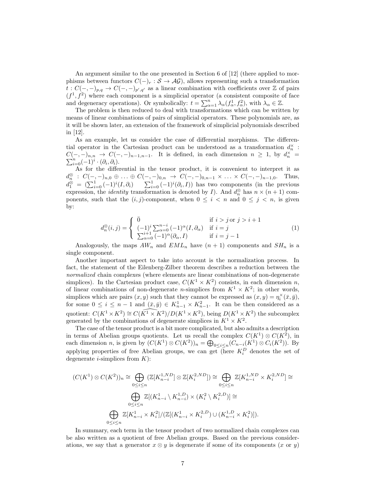An argument similar to the one presented in Section 6 of [12] (there applied to morphisms between functors  $C(-)_r : \mathcal{S} \to \mathcal{AG}$ , allows representing such a transformation  $t: C(-, -)_{p,q} \to C(-, -)_{p',q'}$  as a linear combination with coefficients over Z of pairs  $(f<sup>1</sup>, f<sup>2</sup>)$  where each component is a simplicial operator (a consistent composite of face and degeneracy operations). Or symbolically:  $t = \sum_{\alpha=1}^{n} \lambda_{\alpha}(f_{\alpha}^1, f_{\alpha}^2)$ , with  $\lambda_{\alpha} \in \mathbb{Z}$ .

The problem is then reduced to deal with transformations which can be written by means of linear combinations of pairs of simplicial operators. These polynomials are, as it will be shown later, an extension of the framework of simplicial polynomials described in [12].

As an example, let us consider the case of differential morphisms. The differential operator in the Cartesian product can be understood as a transformation  $d_n^{\times}$ : dat operator in the Cartesian product can be understood as a transformation  $a_n$ .<br>  $C(-,-)_{n,n} \to C(-,-)_{n-1,n-1}$ . It is defined, in each dimension  $n \ge 1$ , by  $d_n^{\times} = \sum_{i=0}^n (-1)^i \cdot (\partial_i, \partial_i)$ .

As for the differential in the tensor product, it is convenient to interpret it as  $d_n^{\otimes} : C(-, -)_{n,0} \oplus ... \oplus C(-, -)_{0,n} \rightarrow C(-, -)_{0,n-1} \times ... \times C(-, -)_{n-1,0}.$  Thus,  $d_1^{\otimes} = \left(\sum_{i=0}^1 (-1)^i (I, \partial_i) \right)$   $\sum_{i=0}^1 (-1)^i (\partial_i, I)$  has two components (in the previous expression, the *identity* transformation is denoted by *I*). And  $d_n^{\otimes}$  has  $n \times (n+1)$  components, such that the  $(i, j)$ -component, when  $0 \le i < n$  and  $0 \le j < n$ , is given by:

$$
d_n^{\otimes}(i,j) = \begin{cases} \n\bar{0} & \text{if } i > j \text{ or } j > i+1 \\ \n(-1)^i \sum_{\alpha=0}^{n-i} (-1)^{\alpha} (I, \partial_\alpha) & \text{if } i = j \\ \n\sum_{\alpha=0}^{i+1} (-1)^{\alpha} (\partial_\alpha, I) & \text{if } i = j-1 \n\end{cases} \tag{1}
$$

Analogously, the maps  $AW_n$  and  $EML_n$  have  $(n + 1)$  components and  $SH_n$  is a single component.

Another important aspect to take into account is the normalization process. In fact, the statement of the Eilenberg-Zilber theorem describes a reduction between the normalized chain complexes (where elements are linear combinations of non-degenerate simplices). In the Cartesian product case,  $C(K^1 \times K^2)$  consists, in each dimension n, of linear combinations of non-degenerate *n*-simplices from  $K^1 \times K^2$ ; in other words, simplices which are pairs  $(x, y)$  such that they cannot be expressed as  $(x, y) = \eta_i^{\times}(\bar{x}, \bar{y}),$ for some  $0 \leq i \leq n-1$  and  $(\bar{x}, \bar{y}) \in K_{n-1}^1 \times K_{n-1}^2$ . It can be then considered as a quotient:  $C(K^1 \times K^2) \cong C(\widehat{K^1 \times K^2})/D(K^1 \times K^2)$ , being  $D(K^1 \times K^2)$  the subcomplex generated by the combinations of degenerate simplices in  $K^1 \times K^2$ .

The case of the tensor product is a bit more complicated, but also admits a description in terms of Abelian groups quotients. Let us recall the complex  $C(K^1) \otimes C(K^2)$ , in each dimension *n*, is given by  $(C(K^1) \otimes C(K^2))_n = \bigoplus_{0 \le i \le n} (C_{n-i}(K^1) \otimes C_i(K^2))$ . By applying properties of free Abelian groups, we can get (here  $K_i^D$  denotes the set of degenerate *i*-simplices from  $K$ :

$$
(C(K^1) \otimes C(K^2))_n \cong \bigoplus_{0 \le i \le n} (\mathbb{Z}[K_{n-i}^{1,ND}] \otimes \mathbb{Z}[K_i^{2,ND}]) \cong \bigoplus_{0 \le i \le n} \mathbb{Z}[K_{n-i}^{1,ND} \times K_i^{2,ND}] \cong
$$
  

$$
\bigoplus_{0 \le i \le n} \mathbb{Z}[(K_{n-i}^1 \setminus K_{n-i}^{1,D}) \times (K_i^2 \setminus K_i^{2,D})] \cong
$$
  

$$
\bigoplus_{0 \le i \le n} \mathbb{Z}[K_{n-i}^1 \times K_i^2] / (\mathbb{Z}[(K_{n-i}^1 \times K_i^{2,D}) \cup (K_{n-i}^{1,D} \times K_i^2)]).
$$

In summary, each term in the tensor product of two normalized chain complexes can be also written as a quotient of free Abelian groups. Based on the previous considerations, we say that a generator  $x \otimes y$  is degenerate if some of its components  $(x \text{ or } y)$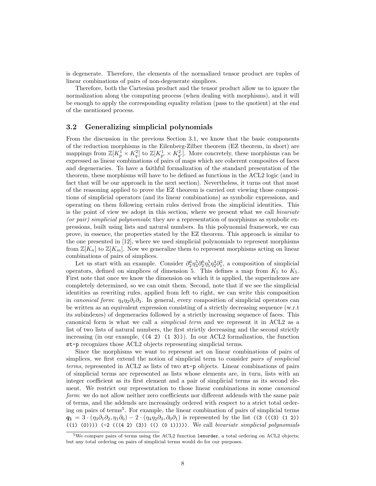is degenerate. Therefore, the elements of the normalized tensor product are tuples of linear combinations of pairs of non-degenerate simplices.

Therefore, both the Cartesian product and the tensor product allow us to ignore the normalization along the computing process (when dealing with morphisms), and it will be enough to apply the corresponding equality relation (pass to the quotient) at the end of the mentioned process.

#### 3.2 Generalizing simplicial polynomials

From the discussion in the previous Section 3.1, we know that the basic components of the reduction morphisms in the Eilenberg-Zilber theorem (EZ theorem, in short) are mappings from  $\mathbb{Z}[K_p^1 \times K_q^2]$  to  $\mathbb{Z}[K_{p'}^1 \times K_{q'}^2]$ . More concretely, these morphisms can be expressed as linear combinations of pairs of maps which are coherent composites of faces and degeneracies. To have a faithful formalization of the standard presentation of the theorem, these morphisms will have to be defined as functions in the ACL2 logic (and in fact that will be our approach in the next section). Nevertheless, it turns out that most of the reasoning applied to prove the EZ theorem is carried out viewing those compositions of simplicial operators (and its linear combinations) as symbolic expressions, and operating on them following certain rules derived from the simplicial identities. This is the point of view we adopt in this section, where we present what we call *bivariate* (or pair) simplicial polynomials; they are a representation of morphisms as symbolic expressions, built using lists and natural numbers. In this polynomial framework, we can prove, in essence, the properties stated by the EZ theorem. This approach is similar to the one presented in [12], where we used simplicial polynomials to represent morphisms from  $\mathbb{Z}[K_n]$  to  $\mathbb{Z}[K_m]$ . Now we generalize them to represent morphisms acting on linear combinations of pairs of simplices.

Let us start with an example. Consider  $\partial_2^6 \eta_3^5 \partial_2^6 \eta_5^5 \eta_2^4 \partial_1^5$ , a composition of simplicial operators, defined on simplices of dimension 5. This defines a map from  $K_5$  to  $K_5$ . First note that once we know the dimension on which it is applied, the superindexes are completely determined, so we can omit them. Second, note that if we see the simplicial identities as rewriting rules, applied from left to right, we can write this composition in canonical form:  $\eta_4\eta_2\partial_1\partial_3$ . In general, every composition of simplicial operators can be written as an equivalent expression consisting of a strictly decreasing sequence (w.r.t its subindexes) of degeneracies followed by a strictly increasing sequence of faces. This canonical form is what we call a simplicial term and we represent it in ACL2 as a list of two lists of natural numbers, the first strictly decreasing and the second strictly increasing (in our example,  $((4 2) (1 3))$ ). In our ACL2 formalization, the function st-p recognizes those ACL2 objects representing simplicial terms.

Since the morphisms we want to represent act on linear combinations of pairs of simplices, we first extend the notion of simplicial term to consider pairs of simplicial terms, represented in ACL2 as lists of two st-p objects. Linear combinations of pairs of simplicial terms are represented as lists whose elements are, in turn, lists with an integer coefficient as its first element and a pair of simplicial terms as its second element. We restrict our representation to those linear combinations in some canonical form: we do not allow neither zero coefficients nor different addends with the same pair of terms, and the addends are increasingly ordered with respect to a strict total ordering on pairs of terms<sup>5</sup>. For example, the linear combination of pairs of simplicial terms  $q_1 = 3 \cdot (\eta_3 \partial_1 \partial_2, \eta_1 \partial_0) - 2 \cdot (\eta_4 \eta_2 \partial_3, \partial_0 \partial_1)$  is represented by the list ((3 (((3) (1 2))  $((1) (0)))) (-2 ((1 2) (3)) ((0 1))))$ . We call bivariate simplicial polynomials

 $5$ We compare pairs of terms using the ACL2 function lexorder, a total ordering on ACL2 objects; but any total ordering on pairs of simplicial terms would do for our purposes.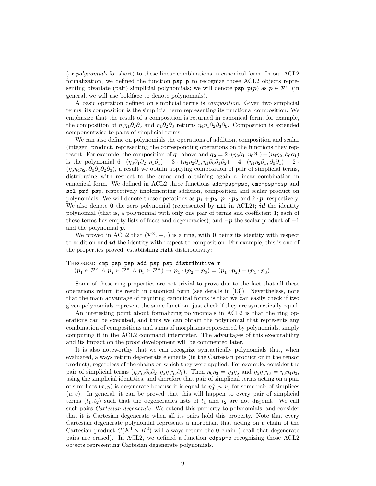(or polynomials for short) to these linear combinations in canonical form. In our ACL2 formalization, we defined the function psp-p to recognize those ACL2 objects representing bivariate (pair) simplicial polynomials; we will denote  $\text{psp-p}(p)$  as  $p \in \mathcal{P}^{\times}$  (in general, we will use boldface to denote polynomials).

A basic operation defined on simplicial terms is composition. Given two simplicial terms, its composition is the simplicial term representing its functional composition. We emphasize that the result of a composition is returned in canonical form; for example, the composition of  $\eta_4\eta_1\partial_2\partial_5$  and  $\eta_1\partial_2\partial_3$  returns  $\eta_4\eta_1\partial_2\partial_3\partial_6$ . Composition is extended componentwise to pairs of simplicial terms.

We can also define on polynomials the operations of addition, composition and scalar (integer) product, representing the corresponding operations on the functions they represent. For example, the composition of  $q_1$  above and  $q_2 = 2 \cdot (\eta_2 \partial_1, \eta_0 \partial_1) - (\eta_4 \eta_2, \partial_0 \partial_1)$ is the polynomial  $6 \cdot (\eta_3 \partial_1 \partial_2, \eta_1 \partial_1) - 3 \cdot (\eta_3 \eta_2 \partial_1, \eta_1 \partial_0 \partial_1 \partial_2) - 4 \cdot (\eta_4 \eta_2 \partial_1, \partial_0 \partial_1) + 2 \cdot$  $(\eta_5\eta_4\eta_2, \partial_0\partial_1\partial_2\partial_3)$ , a result we obtain applying composition of pair of simplicial terms, distributing with respect to the sums and obtaining again a linear combination in canonical form. We defined in ACL2 three functions add-psp-psp, cmp-psp-psp and scl-prd-psp, respectively implementing addition, composition and scalar product on polynomials. We will denote these operations as  $p_1 + p_2$ ,  $p_1 \cdot p_2$  and  $k \cdot p$ , respectively. We also denote 0 the zero polynomial (represented by nil in ACL2); id the identity polynomial (that is, a polynomial with only one pair of terms and coefficient 1; each of these terms has empty lists of faces and degeneracies); and  $-p$  the scalar product of  $-1$ and the polynomial p.

We proved in ACL2 that  $(\mathcal{P}^{\times}, +, \cdot)$  is a ring, with 0 being its identity with respect to addition and  $id$  the identity with respect to composition. For example, this is one of the properties proved, establishing right distributivity:

THEOREM: cmp-psp-psp-add-psp-psp-distributive-r

 $(p_1 \in \mathcal{P}^\times \land p_2 \in \mathcal{P}^\times \land p_3 \in \mathcal{P}^\times) \rightarrow p_1 \cdot (p_2 + p_3) = (p_1 \cdot p_2) + (p_1 \cdot p_3)$ 

Some of these ring properties are not trivial to prove due to the fact that all these operations return its result in canonical form (see details in [13]). Nevertheless, note that the main advantage of requiring canonical forms is that we can easily check if two given polynomials represent the same function: just check if they are syntactically equal.

An interesting point about formalizing polynomials in ACL2 is that the ring operations can be executed, and thus we can obtain the polynomial that represents any combination of compositions and sums of morphisms represented by polynomials, simply computing it in the ACL2 command interpreter. The advantages of this executability and its impact on the proof development will be commented later.

It is also noteworthy that we can recognize syntactically polynomials that, when evaluated, always return degenerate elements (in the Cartesian product or in the tensor product), regardless of the chains on which they were applied. For example, consider the pair of simplicial terms  $(\eta_6\eta_3\partial_0\partial_2, \eta_5\eta_4\eta_3\partial_1)$ . Then  $\eta_6\eta_3 = \eta_3\eta_5$  and  $\eta_5\eta_4\eta_3 = \eta_3\eta_4\eta_3$ , using the simplicial identities, and therefore that pair of simplicial terms acting on a pair of simplices  $(x, y)$  is degenerate because it is equal to  $\eta_3^{\times}(u, v)$  for some pair of simplices  $(u, v)$ . In general, it can be proved that this will happen to every pair of simplicial terms  $(t_1, t_2)$  such that the degeneracies lists of  $t_1$  and  $t_2$  are not disjoint. We call such pairs Cartesian degenerate. We extend this property to polynomials, and consider that it is Cartesian degenerate when all its pairs hold this property. Note that every Cartesian degenerate polynomial represents a morphism that acting on a chain of the Cartesian product  $C(K^1 \times K^2)$  will always return the 0 chain (recall that degenerate pairs are erased). In ACL2, we defined a function cdpsp-p recognizing those ACL2 objects representing Cartesian degenerate polynomials.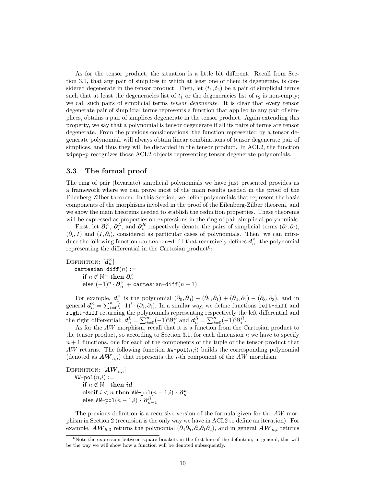As for the tensor product, the situation is a little bit different. Recall from Section 3.1, that any pair of simplices in which at least one of them is degenerate, is considered degenerate in the tensor product. Then, let  $(t_1, t_2)$  be a pair of simplicial terms such that at least the degeneracies list of  $t_1$  or the degeneracies list of  $t_2$  is non-empty; we call such pairs of simplicial terms *tensor degenerate*. It is clear that every tensor degenerate pair of simplicial terms represents a function that applied to any pair of simplices, obtains a pair of simplices degenerate in the tensor product. Again extending this property, we say that a polynomial is tensor degenerate if all its pairs of terms are tensor degenerate. From the previous considerations, the function represented by a tensor degenerate polynomial, will always obtain linear combinations of tensor degenerate pair of simplices, and thus they will be discarded in the tensor product. In ACL2, the function tdpsp-p recognizes those ACL2 objects representing tensor degenerate polynomials.

#### 3.3 The formal proof

The ring of pair (bivariate) simplicial polynomials we have just presented provides us a framework where we can prove most of the main results needed in the proof of the Eilenberg-Zilber theorem. In this Section, we define polynomials that represent the basic components of the morphisms involved in the proof of the Eilenberg-Zilber theorem, and we show the main theorems needed to stablish the reduction properties. These theorems will be expressed as properties on expressions in the ring of pair simplicial polynomials.

First, let  $\partial_i^{\times}, \partial_i^L$ , and  $\partial_i^R$  respectively denote the pairs of simplicial terms  $(\partial_i, \partial_i)$ ,  $(\partial_i, I)$  and  $(I, \partial_i)$ , considered as particular cases of polynomials. Then, we can introduce the following function cartesian-diff that recursively defines  $\boldsymbol{d}_n^\times,$  the polynomial representing the differential in the Cartesian product<sup>6</sup>:

Definition:  $[\boldsymbol{d}_n^{\times}]$ cartesian-diff $(n) :=$ if  $n \notin \mathbb{N}^+$  then  $\mathcal{O}_0^{\times}$ <br>else  $(-1)^n \cdot \mathcal{O}_n^{\times}$  + cartesian-diff $(n-1)$ 

For example,  $d_3^{\times}$  is the polynomial  $(\partial_0, \partial_0) - (\partial_1, \partial_1) + (\partial_2, \partial_2) - (\partial_3, \partial_3)$ , and in general  $d_n^{\times} = \sum_{i=0}^n (-1)^i \cdot (\partial_i, \partial_i)$ . In a similar way, we define functions left-diff and right-diff returning the polynomials representing respectively the left differential and the right differential:  $d_n^L = \sum_{i=0}^n (-1)^i \partial_i^L$  and  $d_n^R = \sum_{i=0}^n (-1)^i \partial_i^R$ .

As for the AW morphism, recall that it is a function from the Cartesian product to the tensor product, so according to Section 3.1, for each dimension  $n$  we have to specify  $n + 1$  functions, one for each of the components of the tuple of the tensor product that AW returns. The following function  $\mathbf{A}\mathbf{W}$ -pol $(n,i)$  builds the corresponding polynomial (denoted as  $AW_{n,i}$ ) that represents the *i*-th component of the AW morphism.

DEFINITION:  $[\boldsymbol{A}\boldsymbol{W}_{n,i}]$  $AW-pol(n,i) :=$ if  $n \notin \mathbb{N}^+$  then  $id$ elseif  $i < n$  then AW-pol $(n-1,i) \cdot \boldsymbol{\partial}_n^L$ else AW-pol $(n-1,i)\cdot \boldsymbol{\partial}_{n-1}^R$ 

The previous definition is a recursive version of the formula given for the AW morphism in Section 2 (recursion is the only way we have in ACL2 to define an iteration). For example,  $AW_{5,3}$  returns the polynomial  $(\partial_4 \partial_5, \partial_0 \partial_1 \partial_2)$ , and in general  $AW_{n,i}$  returns

 $6$ Note the expression between square brackets in the first line of the definition; in general, this will be the way we will show how a function will be denoted subsequently.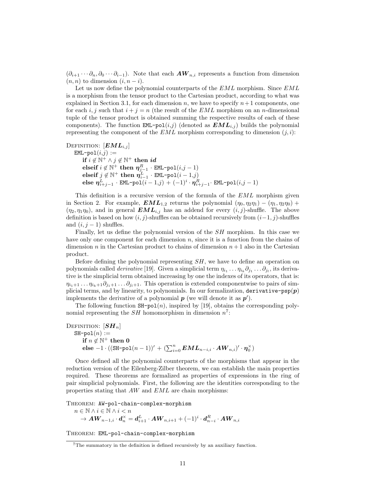$(\partial_{i+1} \cdots \partial_n, \partial_0 \cdots \partial_{i-1})$ . Note that each  $AW_{n,i}$  represents a function from dimension  $(n, n)$  to dimension  $(i, n - i)$ .

Let us now define the polynomial counterparts of the  $EML$  morphism. Since  $EML$ is a morphism from the tensor product to the Cartesian product, according to what was explained in Section 3.1, for each dimension n, we have to specify  $n+1$  components, one for each i, j such that  $i + j = n$  (the result of the EML morphism on an n-dimensional tuple of the tensor product is obtained summing the respective results of each of these components). The function EML-pol(i,j) (denoted as  $\mathbf{EML}_{i,j}$ ) builds the polynomial representing the component of the  $EML$  morphism corresponding to dimension  $(j, i)$ :

DEFINITION:  $[EML_{i,j}]$  $EML-pol(i,j) :=$ if  $i \notin \mathbb{N}^+ \land j \notin \mathbb{N}^+$  then  $id$ elseif  $i \not\in \mathbb{N}^+$  then  $\boldsymbol{\eta}^R_{j-1}$  · EML-pol $(i,j-1)$ elseif  $j \not\in \mathbb{N}^+$  then  $\eta^L_{i-1}$  · EML-pol $(i-1,j)$ else  $\boldsymbol \eta_{i+j-1}^L\cdot \texttt{EML-pol}(i-1,j) + (-1)^i\cdot \boldsymbol \eta_{i+j-1}^R\cdot \texttt{EML-pol}(i,j-1)$ 

This definition is a recursive version of the formula of the EML morphism given in Section 2. For example,  $\boldsymbol{EML}_{1,2}$  returns the polynomial  $(\eta_0, \eta_2\eta_1) - (\eta_1, \eta_2\eta_0) +$  $(\eta_2, \eta_1\eta_0)$ , and in general  $\boldsymbol{EML}_{i,j}$  has an addend for every  $(i, j)$ -shuffle. The above definition is based on how  $(i, j)$ -shuffles can be obtained recursively from  $(i-1, j)$ -shuffles and  $(i, j - 1)$  shuffles.

Finally, let us define the polynomial version of the SH morphism. In this case we have only one component for each dimension  $n$ , since it is a function from the chains of dimension n in the Cartesian product to chains of dimension  $n+1$  also in the Cartesian product.

Before defining the polynomial representing SH, we have to define an operation on polynomials called *derivative* [19]. Given a simplicial term  $\eta_{i_1} \dots \eta_{i_k} \partial_{j_1} \dots \partial_{j_l}$ , its derivative is the simplicial term obtained increasing by one the indexes of its operators, that is:  $\eta_{i_1+1} \ldots \eta_{i_k+1} \partial_{j_1+1} \ldots \partial_{j_l+1}$ . This operation is extended componentwise to pairs of simplicial terms, and by linearity, to polynomials. In our formalization, derivative-psp $(p)$ implements the derivative of a polynomial  $p$  (we will denote it as  $p'$ ).

The following function  $SH-pol(n)$ , inspired by [19], obtains the corresponding polynomial representing the  $SH$  homomorphism in dimension  $n^7$ :

DEFINITION:  $[\mathcal{S}H_n]$  $SH-pol(n) :=$ if  $n \notin \mathbb{N}^+$  then 0  $\mathbf{else} \ -1\cdot((\mathtt{SH-pol}(n-1))'+(\sum_{i=0}^{n}\boldsymbol{EML}_{n-i,i}\cdot \boldsymbol{AW}_{n,i})'\cdot \boldsymbol{\eta}_{0}^{\times})$ 

Once defined all the polynomial counterparts of the morphisms that appear in the reduction version of the Eilenberg-Zilber theorem, we can establish the main properties required. These theorems are formalized as properties of expressions in the ring of pair simplicial polynomials. First, the following are the identities corresponding to the properties stating that AW and EML are chain morphisms:

THEOREM: AW-pol-chain-complex-morphism  $n \in \mathbb{N} \land i \in \mathbb{N} \land i < n$  $\rightarrow \boldsymbol{A}\boldsymbol{W}_{n-1,i}\cdot\boldsymbol{d}_n^{\times}=\boldsymbol{d}_{i+1}^L\cdot\boldsymbol{A}\boldsymbol{W}_{n,i+1}+(-1)^i\cdot\boldsymbol{d}_{n-i}^R\cdot\boldsymbol{A}\boldsymbol{W}_{n,i}$ 

THEOREM: EML-pol-chain-complex-morphism

<sup>7</sup>The summatory in the definition is defined recursively by an auxiliary function.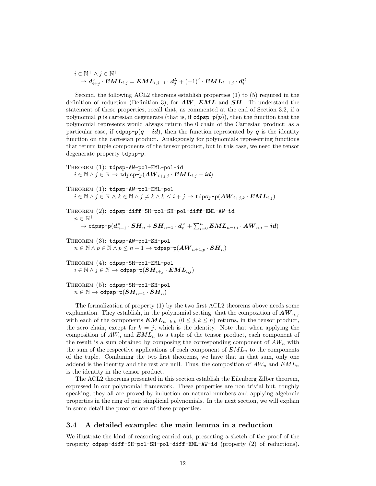$$
\begin{aligned} i &\in \mathbb{N}^+ \land j \in \mathbb{N}^+ \\ &\rightarrow \boldsymbol{d}^{\times}_{i+j} \cdot \boldsymbol{EML}_{i,j} = \boldsymbol{EML}_{i,j-1} \cdot \boldsymbol{d}^L_j + (-1)^j \cdot \boldsymbol{EML}_{i-1,j} \cdot \boldsymbol{d}^R_i \end{aligned}
$$

Second, the following ACL2 theorems establish properties (1) to (5) required in the definition of reduction (Definition 3), for  $AW$ ,  $EML$  and  $SH$ . To understand the statement of these properties, recall that, as commented at the end of Section 3.2, if a polynomial  $p$  is cartesian degenerate (that is, if cdpsp-p $(p)$ ), then the function that the polynomial represents would always return the 0 chain of the Cartesian product; as a particular case, if cdpsp-p( $q - id$ ), then the function represented by q is the identity function on the cartesian product. Analogously for polynomials representing functions that return tuple components of the tensor product, but in this case, we need the tensor degenerate property tdpsp-p.

Theorem (1): tdpsp-AW-pol-EML-pol-id  $i \in \mathbb{N} \wedge j \in \mathbb{N} \rightarrow \texttt{tdpsp-p}(\boldsymbol{A}\boldsymbol{W}_{i+j, j} \cdot \boldsymbol{E}\boldsymbol{M}\boldsymbol{L}_{i,j} - \boldsymbol{id})$ 

Theorem (1): tdpsp-AW-pol-EML-pol  $i \in \mathbb{N} \wedge j \in \mathbb{N} \wedge k \in \mathbb{N} \wedge j \neq k \wedge k \leq i + j \rightarrow$  tdpsp-p $(\mathbf{A} \mathbf{W}_{i+j,k} \cdot \mathbf{E} \mathbf{M} \mathbf{L}_{i,j})$ 

THEOREM (2): cdpsp-diff-SH-pol-SH-pol-diff-EML-AW-id  $n \in \mathbb{N}^+$  $\rightarrow \texttt{cdpsp-p}(\bm{d}_{n+1}^{\times} \cdot \bm{SH}_n + \bm{SH}_{n-1} \cdot \bm{d}_n^{\times} + \sum_{i=0}^n \bm{EML}_{n-i,i} \cdot \bm{AW}_{n,i} - \bm{id})$ 

Theorem (3): tdpsp-AW-pol-SH-pol  $n \in \mathbb{N} \land p \in \mathbb{N} \land p \leq n+1 \rightarrow \text{tdpsp-p}(AW_{n+1,n} \cdot SH_n)$ 

Theorem (4): cdpsp-SH-pol-EML-pol  $i \in \mathbb{N} \wedge j \in \mathbb{N} \rightarrow \text{cdpsp-p}(\boldsymbol{SH}_{i+j} \cdot \boldsymbol{EML}_{i,j})$ 

Theorem (5): cdpsp-SH-pol-SH-pol  $n \in \mathbb{N} \to \text{cdpsp-p}(\boldsymbol{SH}_{n+1} \cdot \boldsymbol{SH}_n)$ 

The formalization of property (1) by the two first ACL2 theorems above needs some explanation. They establish, in the polynomial setting, that the composition of  $AW_{n,j}$ with each of the components  $\boldsymbol{EML}_{n-k,k}$   $(0 \leq j, k \leq n)$  returns, in the tensor product, the zero chain, except for  $k = j$ , which is the identity. Note that when applying the composition of  $AW_n$  and  $EML_n$  to a tuple of the tensor product, each component of the result is a sum obtained by composing the corresponding component of  $AW_n$  with the sum of the respective applications of each component of  $EML_n$  to the components of the tuple. Combining the two first theorems, we have that in that sum, only one addend is the identity and the rest are null. Thus, the composition of  $AW_n$  and  $EML_n$ is the identity in the tensor product.

The ACL2 theorems presented in this section establish the Eilenberg Zilber theorem, expressed in our polynomial framework. These properties are non trivial but, roughly speaking, they all are proved by induction on natural numbers and applying algebraic properties in the ring of pair simplicial polynomials. In the next section, we will explain in some detail the proof of one of these properties.

#### 3.4 A detailed example: the main lemma in a reduction

We illustrate the kind of reasoning carried out, presenting a sketch of the proof of the property cdpsp-diff-SH-pol-SH-pol-diff-EML-AW-id (property (2) of reductions).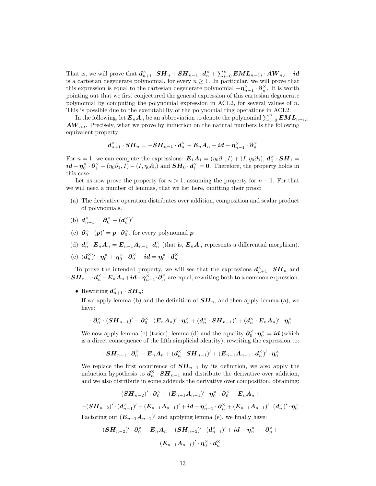That is, we will prove that  $d_{n+1}^{\times} \cdot SH_n + SH_{n-1} \cdot d_n^{\times} + \sum_{i=0}^n EML_{n-i,i} \cdot AW_{n,i} - id$ is a cartesian degenerate polynomial, for every  $n \geq 1$ . In particular, we will prove that this expression is equal to the cartesian degenerate polynomial  $-\eta_{n-1}^{\times} \cdot \partial_n^{\times}$ . It is worth pointing out that we first conjectured the general expression of this cartesian degenerate polynomial by computing the polynomial expression in ACL2, for several values of  $n$ . This is possible due to the executability of the polynomial ring operations in ACL2.

In the following, let  $E_n A_n$  be an abbreviation to denote the polynomial  $\sum_{i=0}^n EML_{n-i,i}$ .  $AW_{n,i}$ . Precisely, what we prove by induction on the natural numbers is the following equivalent property:

$$
\boldsymbol{d}_{n+1}^{\times}\cdot\boldsymbol{S}\boldsymbol{H}_{n}=-\boldsymbol{S}\boldsymbol{H}_{n-1}\cdot\boldsymbol{d}_{n}^{\times}-\boldsymbol{E}_{n}\boldsymbol{A}_{n}+i\boldsymbol{d}-\boldsymbol{\eta}_{n-1}^{\times}\cdot\boldsymbol{\partial}_{n}^{\times}
$$

For  $n = 1$ , we can compute the expressions:  $\mathbf{E}_1 \mathbf{A}_1 = (\eta_0 \partial_1, I) + (I, \eta_0 \partial_0), \mathbf{d}_2^{\times} \cdot \mathbf{S} \mathbf{H}_1 =$  $id - \eta_0^{\times} \cdot \partial_1^{\times} - (\eta_0 \partial_1, I) - (I, \eta_0 \partial_0)$  and  $SH_0 \cdot d_1^{\times} = 0$ . Therefore, the property holds in this case.

Let us now prove the property for  $n > 1$ , assuming the property for  $n - 1$ . For that we will need a number of lemmas, that we list here, omitting their proof:

- (a) The derivative operation distributes over addition, composition and scalar product of polynomials.
- (b)  $\mathbf{d}_{n+1}^{\times} = \partial_0^{\times} (\mathbf{d}_n^{\times})^{\prime}$
- (c)  $\partial_0^{\times} \cdot (p)' = p \cdot \partial_0^{\times}$ , for every polynomial  $p$
- (d)  $d_n^{\times} \cdot E_n A_n = E_{n-1} A_{n-1} \cdot d_n^{\times}$  (that is,  $E_n A_n$  represents a differential morphism).
- (e)  $(\boldsymbol{d}_n^{\times})' \cdot \boldsymbol{\eta}_0^{\times} + \boldsymbol{\eta}_0^{\times} \cdot \boldsymbol{\partial}_0^{\times} \boldsymbol{id} = \boldsymbol{\eta}_0^{\times} \cdot \boldsymbol{d}_n^{\times}$

To prove the intended property, we will see that the expressions  $d_{n+1}^{\times} \cdot SH_n$  and  $-SH_{n-1}\cdot d_n^{\times} - E_nA_n + id - \eta_{n-1}^{\times} \cdot \partial_n^{\times}$  are equal, rewriting both to a common expression.

• Rewriting  $d_{n+1}^{\times} \cdot SH_n$ :

If we apply lemma (b) and the definition of  $SH_n$ , and then apply lemma (a), we have:

$$
-\bm\partial_0^\times\cdot(\bm S\bm H_{n-1})'-\bm\partial_0^\times\cdot(\bm E_n\bm A_n)'\cdot\bm\eta_0^\times+(\bm d_n^\times\cdot\bm S\bm H_{n-1})'+(\bm d_n^\times\cdot\bm E_n\bm A_n)'\cdot\bm\eta_0^\times
$$

We now apply lemma (c) (twice), lemma (d) and the equality  $\partial_0^{\times} \cdot \eta_0^{\times} = id$  (which is a direct consequence of the fifth simplicial identity), rewriting the expression to:

$$
-\boldsymbol{SH}_{n-1}\cdot \boldsymbol{\partial}_0^{\times}-\boldsymbol{E}_n\boldsymbol{A}_n+(\boldsymbol{d}_n^{\times}\cdot \boldsymbol{SH}_{n-1})'+(\boldsymbol{E}_{n-1}\boldsymbol{A}_{n-1}\cdot \boldsymbol{d}_n^{\times})'\cdot \boldsymbol{\eta}_0^{\times}
$$

We replace the first occurrence of  $SH_{n-1}$  by its definition, we also apply the induction hypothesis to  $d_n^{\times} \cdot SH_{n-1}$  and distribute the derivative over addition, and we also distribute in some addends the derivative over composition, obtaining:

$$
(\boldsymbol{SH}_{n-2})'\cdot \boldsymbol{\partial}_0^\times + (\boldsymbol{E}_{n-1}\boldsymbol{A}_{n-1})'\cdot \boldsymbol{\eta}_0^\times \cdot \boldsymbol{\partial}_0^\times - \boldsymbol{E}_n \boldsymbol{A}_n +
$$

 $-(\bm{SH}_{n-2})'\cdot(\bm{d}_{n-1}^{\times})'-(\bm{E}_{n-1}\bm{A}_{n-1})'+\bm{id}-\bm{\eta}_{n-1}^{\times}\cdot\bm{\partial}_{n}^{\times}+(\bm{E}_{n-1}\bm{A}_{n-1})'\cdot(\bm{d}_{n}^{\times})'\cdot\bm{\eta}_{0}^{\times}$ Factoring out  $(E_{n-1}A_{n-1})'$  and applying lemma (e), we finally have:

$$
\begin{aligned} (\boldsymbol{SH}_{n-2})'\cdot \boldsymbol{\partial}_0^\times - \boldsymbol{E}_n\boldsymbol{A}_n - (\boldsymbol{SH}_{n-2})'\cdot (\boldsymbol{d}_{n-1}^\times)' + id - \boldsymbol{\eta}_{n-1}^\times\cdot \boldsymbol{\partial}_n^\times + \\ (\boldsymbol{E}_{n-1}\boldsymbol{A}_{n-1})'\cdot \boldsymbol{\eta}_0^\times \cdot \boldsymbol{d}_n^\times \end{aligned}
$$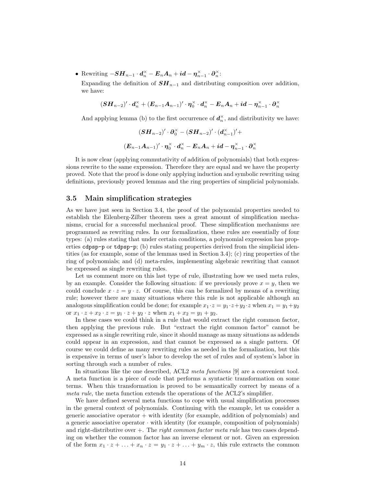• Rewriting  $-SH_{n-1} \cdot d_n^{\times} - E_n A_n + id - \eta_{n-1}^{\times} \cdot \partial_n^{\times}$ :

Expanding the definition of  $SH_{n-1}$  and distributing composition over addition, we have:

$$
(\boldsymbol{SH}_{n-2})'\cdot \boldsymbol{d}_n^\times + (\boldsymbol{E}_{n-1}\boldsymbol{A}_{n-1})'\cdot \boldsymbol{\eta}^\times_0\cdot \boldsymbol{d}_n^\times - \boldsymbol{E}_n\boldsymbol{A}_n + i \boldsymbol{d} - \boldsymbol{\eta}^\times_{n-1}\cdot \boldsymbol{\partial}_n^\times
$$

And applying lemma (b) to the first occurrence of  $d_n^{\times}$ , and distributivity we have:

$$
\begin{array}{c}\left(\boldsymbol{SH}_{n-2}\right)^{\prime}\cdot\boldsymbol{\partial}_{0}^{\times} -(\boldsymbol{SH}_{n-2})^{\prime}\cdot(\boldsymbol{d}_{n-1}^{\times})^{\prime} +\\ \\ \left(\boldsymbol{E}_{n-1}\boldsymbol{A}_{n-1}\right)^{\prime}\cdot\boldsymbol{\eta}_{0}^{\times}\cdot\boldsymbol{d}_{n}^{\times} -\boldsymbol{E}_{n}\boldsymbol{A}_{n} +i\boldsymbol{d} -\boldsymbol{\eta}_{n-1}^{\times}\cdot\boldsymbol{\partial}_{n}^{\times}\end{array}
$$

It is now clear (applying commutativity of addition of polynomials) that both expressions rewrite to the same expression. Therefore they are equal and we have the property proved. Note that the proof is done only applying induction and symbolic rewriting using definitions, previously proved lemmas and the ring properties of simplicial polynomials.

#### 3.5 Main simplification strategies

As we have just seen in Section 3.4, the proof of the polynomial properties needed to establish the Eilenberg-Zilber theorem uses a great amount of simplification mechanisms, crucial for a successful mechanical proof. These simplification mechanisms are programmed as rewriting rules. In our formalization, these rules are essentially of four types: (a) rules stating that under certain conditions, a polynomial expression has properties cdpsp-p or tdpsp-p; (b) rules stating properties derived from the simplicial identities (as for example, some of the lemmas used in Section 3.4); (c) ring properties of the ring of polynomials; and (d) meta-rules, implementing algebraic rewriting that cannot be expressed as single rewriting rules.

Let us comment more on this last type of rule, illustrating how we used meta rules, by an example. Consider the following situation: if we previously prove  $x = y$ , then we could conclude  $x \cdot z = y \cdot z$ . Of course, this can be formalized by means of a rewriting rule; however there are many situations where this rule is not applicable although an analogous simplification could be done; for example  $x_1 \cdot z = y_1 \cdot z + y_2 \cdot z$  when  $x_1 = y_1 + y_2$ or  $x_1 \cdot z + x_2 \cdot z = y_1 \cdot z + y_2 \cdot z$  when  $x_1 + x_2 = y_1 + y_2$ .

In these cases we could think in a rule that would extract the right common factor, then applying the previous rule. But "extract the right common factor" cannot be expressed as a single rewriting rule, since it should manage as many situations as addends could appear in an expression, and that cannot be expressed as a single pattern. Of course we could define as many rewriting rules as needed in the formalization, but this is expensive in terms of user's labor to develop the set of rules and of system's labor in sorting through such a number of rules.

In situations like the one described, ACL2 meta functions [9] are a convenient tool. A meta function is a piece of code that performs a syntactic transformation on some terms. When this transformation is proved to be semantically correct by means of a meta rule, the meta function extends the operations of the ACL2's simplifier.

We have defined several meta functions to cope with usual simplification processes in the general context of polynomials. Continuing with the example, let us consider a generic associative operator + with identity (for example, addition of polynomials) and a generic associative operator  $\cdot$  with identity (for example, composition of polynomials) and right-distributive over  $+$ . The *right common factor meta rule* has two cases depending on whether the common factor has an inverse element or not. Given an expression of the form  $x_1 \cdot z + \ldots + x_n \cdot z = y_1 \cdot z + \ldots + y_m \cdot z$ , this rule extracts the common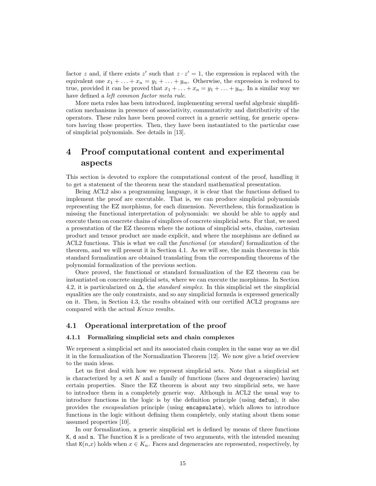factor z and, if there exists z' such that  $z \cdot z' = 1$ , the expression is replaced with the equivalent one  $x_1 + \ldots + x_n = y_1 + \ldots + y_m$ . Otherwise, the expression is reduced to true, provided it can be proved that  $x_1 + \ldots + x_n = y_1 + \ldots + y_m$ . In a similar way we have defined a *left common factor meta rule*.

More meta rules has been introduced, implementing several useful algebraic simplification mechanisms in presence of associativity, commutativity and distributivity of the operators. These rules have been proved correct in a generic setting, for generic operators having those properties. Then, they have been instantiated to the particular case of simplicial polynomials. See details in [13].

## 4 Proof computational content and experimental aspects

This section is devoted to explore the computational content of the proof, handling it to get a statement of the theorem near the standard mathematical presentation.

Being ACL2 also a programming language, it is clear that the functions defined to implement the proof are executable. That is, we can produce simplicial polynomials representing the EZ morphisms, for each dimension. Nevertheless, this formalization is missing the functional interpretation of polynomials: we should be able to apply and execute them on concrete chains of simplices of concrete simplicial sets. For that, we need a presentation of the EZ theorem where the notions of simplicial sets, chains, cartesian product and tensor product are made explicit, and where the morphisms are defined as ACL2 functions. This is what we call the functional (or standard) formalization of the theorem, and we will present it in Section 4.1. As we will see, the main theorems in this standard formalization are obtained translating from the corresponding theorems of the polynomial formalization of the previous section.

Once proved, the functional or standard formalization of the EZ theorem can be instantiated on concrete simplicial sets, where we can execute the morphisms. In Section 4.2, it is particularized on  $\Delta$ , the *standard simplex*. In this simplicial set the simplicial equalities are the only constraints, and so any simplicial formula is expressed generically on it. Then, in Section 4.3, the results obtained with our certified ACL2 programs are compared with the actual Kenzo results.

#### 4.1 Operational interpretation of the proof

#### 4.1.1 Formalizing simplicial sets and chain complexes

We represent a simplicial set and its associated chain complex in the same way as we did it in the formalization of the Normalization Theorem [12]. We now give a brief overview to the main ideas.

Let us first deal with how we represent simplicial sets. Note that a simplicial set is characterized by a set  $K$  and a family of functions (faces and degeneracies) having certain properties. Since the EZ theorem is about any two simplicial sets, we have to introduce them in a completely generic way. Although in ACL2 the usual way to introduce functions in the logic is by the definition principle (using defun), it also provides the encapsulation principle (using encapsulate), which allows to introduce functions in the logic without defining them completely, only stating about them some assumed properties [10].

In our formalization, a generic simplicial set is defined by means of three functions K, d and n. The function K is a predicate of two arguments, with the intended meaning that  $K(n,x)$  holds when  $x \in K_n$ . Faces and degeneracies are represented, respectively, by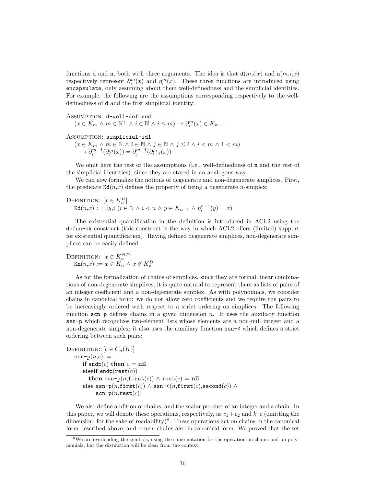functions d and n, both with three arguments. The idea is that  $d(m,i,x)$  and  $n(m,i,x)$ respectively represent  $\partial_i^m(x)$  and  $\eta_i^m(x)$ . These three functions are introduced using encapsulate, only assuming about them well-definedness and the simplicial identities. For example, the following are the assumptions corresponding respectively to the welldefinedness of d and the first simplicial identity:

#### ASSUMPTION: d-well-defined

 $(x \in K_m \land m \in \mathbb{N}^+ \land i \in \mathbb{N} \land i \leq m) \rightarrow \partial_i^m(x) \in K_{m-1}$ 

#### Assumption: simplicial-id1

 $(x \in K_m \land m \in \mathbb{N} \land i \in \mathbb{N} \land j \in \mathbb{N} \land j \leq i \land i < m \land 1 < m)$  $\rightarrow \partial_i^{m-1}(\partial_j^m(x)) = \partial_j^{m-1}(\partial_{i+1}^m(x))$ 

We omit here the rest of the assumptions (i.e., well-definedness of **n** and the rest of the simplicial identities), since they are stated in an analogous way.

We can now formalize the notions of degenerate and non-degenerate simplices. First, the predicate  $Kd(n,x)$  defines the property of being a degenerate *n*-simplex:

## DEFINITION:  $[x \in K_n^D]$ Kd $(n,x) := \exists y,i\ (i\in\mathbb{N} \land i < n \land y \in K_{n-1} \land \eta_i^{n-1}(y) = x)$

The existential quantification in the definition is introduced in ACL2 using the defun-sk construct (this construct is the way in which ACL2 offers (limited) support for existential quantification). Having defined degenerate simplices, non-degenerate simplices can be easily defined:

DEFINITION:  $[x \in K_n^{ND}]$  $\text{Kn}(n,x) := x \in K_n \land x \notin K_n^D$ 

As for the formalization of chains of simplices, since they are formal linear combinations of non-degenerate simplices, it is quite natural to represent them as lists of pairs of an integer coefficient and a non-degenerate simplex. As with polynomials, we consider chains in canonical form: we do not allow zero coefficients and we require the pairs to be increasingly ordered with respect to a strict ordering on simplices. The following function  $\operatorname{scn-p}$  defines chains in a given dimension n. It uses the auxiliary function ssn-p which recognizes two-element lists whose elements are a non-null integer and a non-degenerate simplex; it also uses the auxiliary function ssn-< which defines a strict ordering between such pairs:

```
DEFINITION: [c \in C_n(K)]\texttt{scn-p}(n,c) :=if endp(c) then c = \textbf{nil}elseif endp(\texttt{rest}(c))
           then ssn-p(n,first(c)) \wedge rest(c) = nil
        else ssn-p(n, \text{first}(c)) \wedge \text{ssn} \prec (n, \text{first}(c), \text{second}(c)) \wedge\texttt{scn-p}(n,\texttt{rest}(c))
```
We also define addition of chains, and the scalar product of an integer and a chain. In this paper, we will denote these operations, respectively, as  $c_1+c_2$  and  $k \cdot c$  (omitting the dimension, for the sake of readability)<sup>8</sup>. These operations act on chains in the canonical form described above, and return chains also in canonical form. We proved that the set

<sup>8</sup>We are overloading the symbols, using the same notation for the operation on chains and on polynomials, but the distinction will be clear from the context.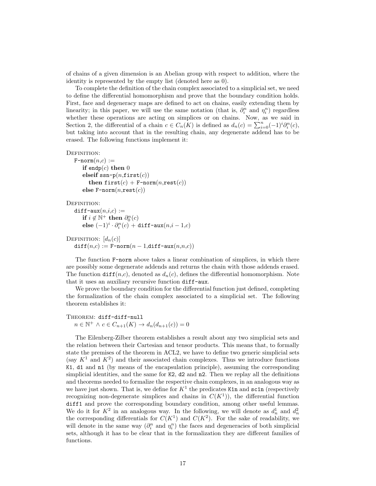of chains of a given dimension is an Abelian group with respect to addition, where the identity is represented by the empty list (denoted here as 0).

To complete the definition of the chain complex associated to a simplicial set, we need to define the differential homomorphism and prove that the boundary condition holds. First, face and degeneracy maps are defined to act on chains, easily extending them by linearity; in this paper, we will use the same notation (that is,  $\partial_i^n$  and  $\eta_i^n$ ) regardless whether these operations are acting on simplices or on chains. Now, as we said in Section 2, the differential of a chain  $c \in C_n(K)$  is defined as  $d_n(c) = \sum_{i=0}^n (-1)^i \partial_i^n(c)$ , but taking into account that in the resulting chain, any degenerate addend has to be erased. The following functions implement it:

#### DEFINITION:

```
F\text{-norm}(n,c) :=if endp(c) then 0
    elseif ssn-p(n, \text{first}(c))then first(c) + F-norm(n, \text{rest}(c))else F\text{-norm}(n, \text{rest}(c))
```
DEFINITION:

 $diff = aux(n,i,c) :=$ if  $i \notin \mathbb{N}^+$  then  $\partial_0^n(c)$  $\mathbf{else}~(-1)^i\cdot\partial_i^n(c)+\mathtt{diff}\text{-}\mathbf{aux}(n,i-1,c)$ 

DEFINITION:  $[d_n(c)]$  $diff(n,c) :=$  F-norm $(n-1, diff$ -aux $(n,n,c))$ 

The function F-norm above takes a linear combination of simplices, in which there are possibly some degenerate addends and returns the chain with those addends erased. The function  $diff(n,c)$ , denoted as  $d_n(c)$ , defines the differential homomorphism. Note that it uses an auxiliary recursive function diff-aux.

We prove the boundary condition for the differential function just defined, completing the formalization of the chain complex associated to a simplicial set. The following theorem establishes it:

#### THEOREM: diff-diff-null

```
n \in \mathbb{N}^+ \land c \in C_{n+1}(K) \to d_n(d_{n+1}(c)) = 0
```
The Eilenberg-Zilber theorem establishes a result about any two simplicial sets and the relation between their Cartesian and tensor products. This means that, to formally state the premises of the theorem in ACL2, we have to define two generic simplicial sets (say  $K^1$  and  $K^2$ ) and their associated chain complexes. Thus we introduce functions K1, d1 and n1 (by means of the encapsulation principle), assuming the corresponding simplicial identities, and the same for K2, d2 and n2. Then we replay all the definitions and theorems needed to formalize the respective chain complexes, in an analogous way as we have just shown. That is, we define for  $K^1$  the predicates K1n and sc1n (respectively recognizing non-degenerate simplices and chains in  $C(K^1)$ , the differential function diff1 and prove the corresponding boundary condition, among other useful lemmas. We do it for  $K^2$  in an analogous way. In the following, we will denote as  $d_n^1$  and  $d_n^2$ the corresponding differentials for  $C(K^1)$  and  $C(K^2)$ . For the sake of readability, we will denote in the same way  $(\partial_i^n$  and  $\eta_i^n)$  the faces and degeneracies of both simplicial sets, although it has to be clear that in the formalization they are different families of functions.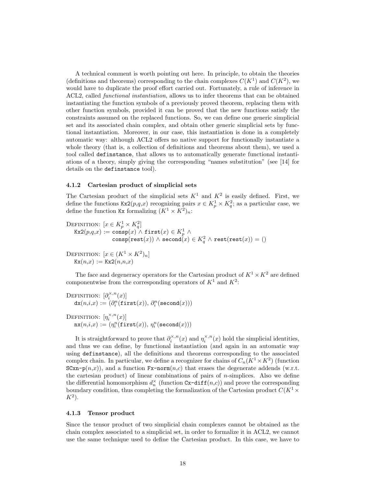A technical comment is worth pointing out here. In principle, to obtain the theories (definitions and theorems) corresponding to the chain complexes  $C(K^1)$  and  $C(K^2)$ , we would have to duplicate the proof effort carried out. Fortunately, a rule of inference in ACL2, called functional instantiation, allows us to infer theorems that can be obtained instantiating the function symbols of a previously proved theorem, replacing them with other function symbols, provided it can be proved that the new functions satisfy the constraints assumed on the replaced functions. So, we can define one generic simplicial set and its associated chain complex, and obtain other generic simplicial sets by functional instantiation. Moreover, in our case, this instantiation is done in a completely automatic way: although ACL2 offers no native support for functionally instantiate a whole theory (that is, a collection of definitions and theorems about them), we used a tool called definstance, that allows us to automatically generate functional instantiations of a theory, simply giving the corresponding "names substitution" (see [14] for details on the definstance tool).

#### 4.1.2 Cartesian product of simplicial sets

The Cartesian product of the simplicial sets  $K^1$  and  $K^2$  is easily defined. First, we define the functions  $Kx2(p,q,x)$  recognizing pairs  $x \in K_p^1 \times K_q^2$ ; as a particular case, we define the function Kx formalizing  $(K^1 \times K^2)_n$ :

DEFINITION:  $[x \in K_p^1 \times K_q^2]$  $\mathtt{Kx2}(p,q,x) := \mathsf{consp}(x) \mathbin{\hat{\wedge}} \mathtt{first}(x) \in K^1_p \mathbin{\hat{\wedge}}$  $\mathrm{consp}(\mathtt{rest}(x))\,\wedge\,\mathtt{second}(x)\in K^2_q\,\wedge\,\mathtt{rest}(\mathtt{rest}(x))=()$ 

DEFINITION:  $[x \in (K^1 \times K^2)_n]$  $\text{Kx}(n,x) := \text{Kx2}(n,n,x)$ 

The face and degeneracy operators for the Cartesian product of  $K^1 \times K^2$  are defined componentwise from the corresponding operators of  $K^1$  and  $K^2$ :

DEFINITION: 
$$
[\partial_i^{\times,n}(x)]
$$
\n $dx(n,i,x) := (\partial_i^n(\texttt{first}(x)), \partial_i^n(\texttt{second}(x)))$ 

DEFINITION:  $[\eta_i^{\times,n}(x)]$  $\mathtt{nx}(n,i,x) := \left(\eta_i^n(\mathtt{first}(x)),\, \eta_i^n(\mathtt{second}(x))\right)$ 

It is straightforward to prove that  $\partial_i^{\times,n}(x)$  and  $\eta_i^{\times,n}(x)$  hold the simplicial identities, and thus we can define, by functional instantiation (and again in an automatic way using definstance), all the definitions and theorems corresponding to the associated complex chain. In particular, we define a recognizer for chains of  $C_n(K^1 \times K^2)$  (function  $SCxn-p(n,x)$ , and a function  $Fx-norm(n,c)$  that erases the degenerate addends (w.r.t. the cartesian product) of linear combinations of pairs of  $n$ -simplices. Also we define the differential homomorphism  $d_n^{\times}$  (function  $\text{Cx-diff}(n,c)$ ) and prove the corresponding boundary condition, thus completing the formalization of the Cartesian product  $C(K^1 \times$  $K^2$ ).

#### 4.1.3 Tensor product

Since the tensor product of two simplicial chain complexes cannot be obtained as the chain complex associated to a simplicial set, in order to formalize it in ACL2, we cannot use the same technique used to define the Cartesian product. In this case, we have to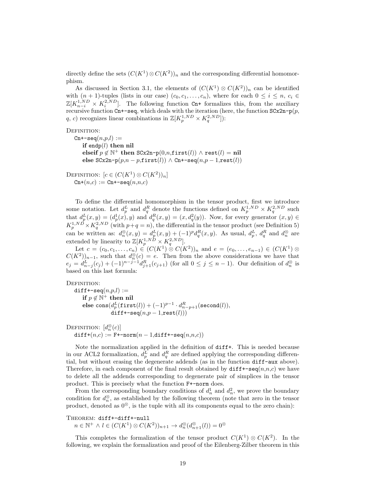directly define the sets  $(C(K^1) \otimes C(K^2))_n$  and the corresponding differential homomorphism.

As discussed in Section 3.1, the elements of  $(C(K^1) \otimes C(K^2))_n$  can be identified with  $(n + 1)$ -tuples (lists in our case)  $(c_0, c_1, \ldots, c_n)$ , where for each  $0 \leq i \leq n$ ,  $c_i \in$  $\mathbb{Z}[K_{n-i}^{1,ND} \times K_i^{2,ND}]$ . The following function Cn+ formalizes this, from the auxiliary recursive function  $\texttt{Cn+-seq}$ , which deals with the iteration (here, the function  $\texttt{SCx2n-p}(p,$ q, c) recognizes linear combinations in  $\mathbb{Z}[K_p^{1,ND} \times K_q^{2,ND}]$ :

DEFINITION:

 $\texttt{Cn+-seq}(n,p,l) :=$ if endp $(l)$  then nil  $\textbf{else} \textbf{if} \; p \not\in \mathbb{N}^+ \; \textbf{then} \; \texttt{SCx2n-p}(0\textit{,}n \textbf{.first}(l)) \land \texttt{rest}(l) = \textbf{nil}$ else  $SCx2n-p(p,n-p,\text{first}(l)) \wedge Cn+\text{seq}(n,p-1,\text{rest}(l))$ 

DEFINITION:  $[c \in (C(K^1) \otimes C(K^2))_n]$  $\text{Ch}+(n,c) := \text{Ch}+\text{-seq}(n,n,c)$ 

To define the differential homomorphism in the tensor product, first we introduce some notation. Let  $d_p^L$  and  $d_q^R$  denote the functions defined on  $K_p^{1,ND} \times K_q^{2,ND}$  such that  $d_p^L(x,y) = (d_p^1(x), y)$  and  $d_q^R(x,y) = (x, d_q^2(y))$ . Now, for every generator  $(x, y) \in$  $K_p^{1,ND} \times K_q^{2,ND}$  (with  $p+q=n$ ), the differential in the tensor product (see Definition 5) can be written as:  $d_n^{\otimes}(x, y) = d_p^L(x, y) + (-1)^p d_q^R(x, y)$ . As usual,  $d_p^L$ ,  $d_q^R$  and  $d_n^{\otimes}$  are extended by linearity to  $\mathbb{Z}[K_p^{1,N_D} \times K_q^{2,ND}].$ 

Let  $c = (c_0, c_1, \ldots, c_n) \in (C(K^1) \otimes C(K^2))_n$  and  $e = (e_0, \ldots, e_{n-1}) \in (C(K^1) \otimes C(K^2))_n$  $C(K^2)$ <sub>n-1</sub>, such that  $d_n^{\otimes}(c) = e$ . Then from the above considerations we have that  $e_j = d_{n-j}^L(c_j) + (-1)^{n-j-1}d_{j+1}^R(c_{j+1})$  (for all  $0 \leq j \leq n-1$ ). Our definition of  $d_n^{\otimes}$  is based on this last formula:

DEFINITION:

 $diff+-seq(n,p,l) :=$  $\mathbf{if}~p\not\in\mathbb{N}^{+} \text{ then nil}$  $\textbf{else } \textsf{cons}(d^L_p(\textsf{first}(l)) + (-1)^{p-1} \cdot d^R_{n-p+1}(\textsf{second}(l)),$ diff+-seq $(n,p-1,\mathtt{rest}(l)))$ 

DEFINITION:  $[d_n^{\otimes}(c)]$  $diff+(n,c) := F+-\text{norm}(n-1, diff+-seq(n,n,c))$ 

Note the normalization applied in the definition of diff+. This is needed because in our ACL2 formalization,  $d_p^L$  and  $d_q^R$  are defined applying the corresponding differential, but without erasing the degenerate addends (as in the function diff-aux above). Therefore, in each component of the final result obtained by  $diff+-seq(n,n,c)$  we have to delete all the addends corresponding to degenerate pair of simplices in the tensor product. This is precisely what the function F+-norm does.

From the corresponding boundary conditions of  $d_n^1$  and  $d_n^2$ , we prove the boundary condition for  $d_n^{\otimes}$ , as established by the following theorem (note that zero in the tensor product, denoted as  $0^{\otimes}$ , is the tuple with all its components equal to the zero chain):

Theorem: diff+-diff+-null

 $n \in \mathbb{N}^+ \land l \in (C(K^1) \otimes C(K^2))_{n+1} \rightarrow d_n^{\otimes}(d_{n+1}^{\otimes}(l)) = 0^{\otimes}$ 

This completes the formalization of the tensor product  $C(K^1) \otimes C(K^2)$ . In the following, we explain the formalization and proof of the Eilenberg-Zilber theorem in this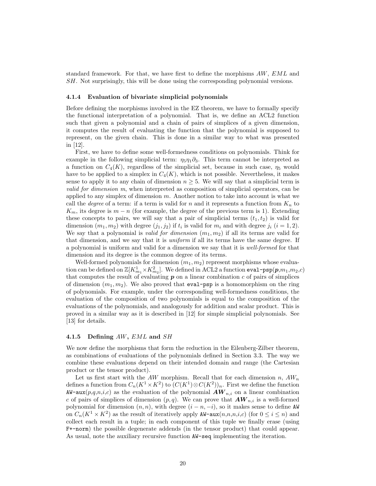standard framework. For that, we have first to define the morphisms AW, EML and SH. Not surprisingly, this will be done using the corresponding polynomial versions.

#### 4.1.4 Evaluation of bivariate simplicial polynomials

Before defining the morphisms involved in the EZ theorem, we have to formally specify the functional interpretation of a polynomial. That is, we define an ACL2 function such that given a polynomial and a chain of pairs of simplices of a given dimension, it computes the result of evaluating the function that the polynomial is supposed to represent, on the given chain. This is done in a similar way to what was presented in [12].

First, we have to define some well-formedness conditions on polynomials. Think for example in the following simplicial term:  $\eta_5\eta_1\partial_3$ . This term cannot be interpreted as a function on  $C_4(K)$ , regardless of the simplicial set, because in such case,  $\eta_5$  would have to be applied to a simplex in  $C_4(K)$ , which is not possible. Nevertheless, it makes sense to apply it to any chain of dimension  $n \geq 5$ . We will say that a simplicial term is valid for dimension m, when interpreted as composition of simplicial operators, can be applied to any simplex of dimension  $m$ . Another notion to take into account is what we call the *degree* of a term: if a term is valid for n and it represents a function from  $K_n$  to  $K_m$ , its degree is  $m - n$  (for example, the degree of the previous term is 1). Extending these concepts to pairs, we will say that a pair of simplicial terms  $(t_1, t_2)$  is valid for dimension  $(m_1, m_2)$  with degree  $(j_1, j_2)$  if  $t_i$  is valid for  $m_i$  and with degree  $j_i$   $(i = 1, 2)$ . We say that a polynomial is *valid for dimension*  $(m_1, m_2)$  if all its terms are valid for that dimension, and we say that it is uniform if all its terms have the same degree. If a polynomial is uniform and valid for a dimension we say that it is well-formed for that dimension and its degree is the common degree of its terms.

Well-formed polynomials for dimension  $(m_1, m_2)$  represent morphisms whose evaluation can be defined on  $\mathbb{Z}[K_{m_1}^1\times K_{m_2}^2].$  We defined in ACL2 a function  $\mathtt{eval-psp}(p,m_1,m_2,c)$ that computes the result of evaluating  $p$  on a linear combination c of pairs of simplices of dimension  $(m_1, m_2)$ . We also proved that eval-psp is a homomorphism on the ring of polynomials. For example, under the corresponding well-formedness conditions, the evaluation of the composition of two polynomials is equal to the composition of the evaluations of the polynomials, and analogously for addition and scalar product. This is proved in a similar way as it is described in [12] for simple simplicial polynomials. See [13] for details.

#### 4.1.5 Defining AW, EML and SH

We now define the morphisms that form the reduction in the Eilenberg-Zilber theorem, as combinations of evaluations of the polynomials defined in Section 3.3. The way we combine these evaluations depend on their intended domain and range (the Cartesian product or the tensor product).

Let us first start with the  $AW$  morphism. Recall that for each dimension n,  $AW_n$ defines a function from  $C_n(K^1 \times K^2)$  to  $(C(K^1) \otimes C(K^2))_n$ . First we define the function  $\mathbf{A}\mathbf{W}\text{-}\text{aux}(p,q,n,i,c)$  as the evaluation of the polynomial  $\mathbf{A}\mathbf{W}_{n,i}$  on a linear combination c of pairs of simplices of dimension  $(p, q)$ . We can prove that  $AW_{n,i}$  is a well-formed polynomial for dimension  $(n, n)$ , with degree  $(i - n, -i)$ , so it makes sense to define AW on  $C_n(K^1 \times K^2)$  as the result of iteratively apply AW-aux $(n,n,n,i,c)$  (for  $0 \le i \le n$ ) and collect each result in a tuple; in each component of this tuple we finally erase (using F+-norm) the possible degenerate addends (in the tensor product) that could appear. As usual, note the auxiliary recursive function AW-seq implementing the iteration.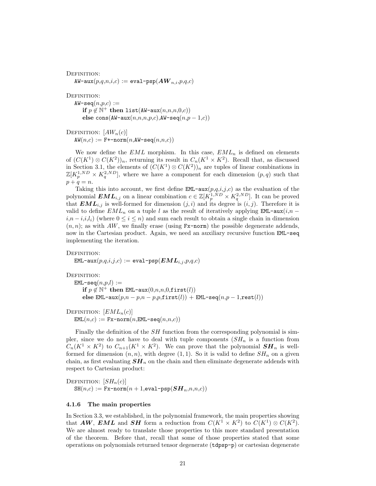DEFINITION:  $\mathsf{AW-aux}(p,q,n,i,c) := \mathsf{eval-psp}(\mathbf{AW}_{n,i},p,q,c)$ 

DEFINITION:

 $AW\text{-}\mathbf{seq}(n,p,c) :=$ if  $p \notin \mathbb{N}^+$  then list(AW-aux $(n,n,n,0,c)$ ) else cons(AW-aux $(n,n,n,p,c)$ ,AW-seq $(n,p-1,c)$ )

DEFINITION:  $[AW_n(c)]$ 

 $AW(n,c) := F + -norm(n, AW - seq(n,n,c))$ 

We now define the  $EML$  morphism. In this case,  $EML_n$  is defined on elements of  $(C(K^1) \otimes C(K^2))_n$ , returning its result in  $C_n(K^1 \times K^2)$ . Recall that, as discussed in Section 3.1, the elements of  $(C(K^1) \otimes C(K^2))_n$  are tuples of linear combinations in  $\mathbb{Z}[K_p^{1,ND} \times K_q^{2,ND}]$ , where we have a component for each dimension  $(p,q)$  such that  $p + q = n.$ 

Taking this into account, we first define  $EML-aux(p,q,i,j,c)$  as the evaluation of the polynomial  $\pmb{EML}_{i,j}$  on a linear combination  $c \in \mathbb{Z}[K_p^{1,ND} \times K_q^{2,ND}]$ . It can be proved that  $\boldsymbol{EML}_{i,j}$  is well-formed for dimension  $(j,i)$  and its degree is  $(i,j)$ . Therefore it is valid to define  $EML_n$  on a tuple l as the result of iteratively applying EML-aux $(i, n$  $i, n - i, i, l_i$  (where  $0 \leq i \leq n$ ) and sum each result to obtain a single chain in dimension  $(n, n)$ ; as with AW, we finally erase (using  $Fx$ -norm) the possible degenerate addends, now in the Cartesian product. Again, we need an auxiliary recursive function EML-seq implementing the iteration.

```
DEFINITION:
```
 $EML-aux(p,q,i,j,c) := eval-psp(EML_{i,j},p,q,c)$ 

DEFINITION:

 $EML-seq(n,p,l) :=$ if  $p \notin \mathbb{N}^+$  then EML-aux $(0, n, n, 0, \texttt{first}(l))$ else EML-aux $(p, n-p, n-p, p, \text{first}(l))$  + EML-seq $(n, p-1, \text{rest}(l))$ 

DEFINITION:  $[EML_n(c)]$  $EML(n,c) := Fx-norm(n,EML-seq(n,n,c))$ 

Finally the definition of the *SH* function from the corresponding polynomial is simpler, since we do not have to deal with tuple components  $(SH_n$  is a function from  $C_n(K^1 \times K^2)$  to  $C_{n+1}(K^1 \times K^2)$ . We can prove that the polynomial  $SH_n$  is wellformed for dimension  $(n, n)$ , with degree  $(1, 1)$ . So it is valid to define  $SH_n$  on a given chain, as first evaluating  $SH_n$  on the chain and then eliminate degenerate addends with respect to Cartesian product:

DEFINITION:  $[SH_n(c)]$  $\text{SH}(n,c) := \text{Fx-norm}(n+1,\text{eval-psp}(\boldsymbol{SH}_n,n,n,c))$ 

#### 4.1.6 The main properties

In Section 3.3, we established, in the polynomial framework, the main properties showing that **AW**, **EML** and **SH** form a reduction from  $C(K^1 \times K^2)$  to  $C(K^1) \otimes C(K^2)$ . We are almost ready to translate those properties to this more standard presentation of the theorem. Before that, recall that some of those properties stated that some operations on polynomials returned tensor degenerate (tdpsp-p) or cartesian degenerate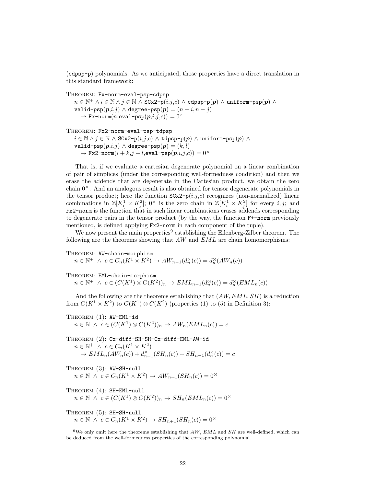(cdpsp-p) polynomials. As we anticipated, those properties have a direct translation in this standard framework:

THEOREM: Fx-norm-eval-psp-cdpsp

 $n\in\mathbb{N}^+\land i\in\mathbb{N}\land j\in\mathbb{N}\land\texttt{SCx2-p}(i,j,c)\land\texttt{cdpsp-p}(\boldsymbol{p})\land\texttt{uniform-psp}(\boldsymbol{p})\land\ldots$ valid-psp $(p,i,j) \wedge$  degree-psp $(p) = (n-i, n-j)$  $\rightarrow$  Fx-norm(*n*,eval-psp( $p,i,j,c$ )) = 0<sup>×</sup>

THEOREM: Fx2-norm-eval-psp-tdpsp

 $i \in \mathbb{N} \land j \in \mathbb{N} \land \text{SCx2-p}(i,j,c) \land \text{tdpsp-p}(p) \land \text{uniform-psp}(p) \land$ valid-psp $(p,i,j)$   $\wedge$  degree-psp $(p) = (k,l)$  $\rightarrow$  Fx2-norm $(i + k, j + l, \text{eval-psp}(p, i, j, c)) = 0^{\times}$ 

That is, if we evaluate a cartesian degenerate polynomial on a linear combination of pair of simplices (under the corresponding well-formedness condition) and then we erase the addends that are degenerate in the Cartesian product, we obtain the zero chain  $0<sup>×</sup>$ . And an analogous result is also obtained for tensor degenerate polynomials in the tensor product; here the function  $S\alpha^2-p(i,j,c)$  recognizes (non-normalized) linear combinations in  $\mathbb{Z}[K_i^1 \times K_j^2]; 0^{\times}$  is the zero chain in  $\mathbb{Z}[K_i^1 \times K_j^2]$  for every i, j; and Fx2-norm is the function that in such linear combinations erases addends corresponding to degenerate pairs in the tensor product (by the way, the function F+-norm previously mentioned, is defined applying Fx2-norm in each component of the tuple).

We now present the main properties<sup>9</sup> establishing the Eilenberg-Zilber theorem. The following are the theorems showing that  $AW$  and  $EML$  are chain homomorphisms:

THEOREM: AW-chain-morphism  $n \in \mathbb{N}^+ \land c \in C_n(K^1 \times K^2) \to AW_{n-1}(d_n^{\times}(c)) = d_n^{\otimes}(AW_n(c))$ 

THEOREM: EML-chain-morphism

 $n \in \mathbb{N}^+ \land c \in (C(K^1) \otimes C(K^2))_n \to EML_{n-1}(d_n^{\otimes}(c)) = d_n^{\times}(EML_n(c))$ 

And the following are the theorems establishing that  $(AW, EML, SH)$  is a reduction from  $C(K^1 \times K^2)$  to  $C(K^1) \otimes C(K^2)$  (properties (1) to (5) in Definition 3):

Theorem (1): AW-EML-id  $n \in \mathbb{N} \land c \in (C(K^1) \otimes C(K^2))_n \rightarrow AW_n(EML_n(c)) = c$ 

Theorem (2): Cx-diff-SH-SH-Cx-diff-EML-AW-id  $n \in \mathbb{N}^+ \land c \in C_n(K^1 \times K^2)$  $\rightarrow EML_n(AW_n(c)) + d_{n+1}^{\times}(SH_n(c)) + SH_{n-1}(d_n^{\times}(c)) = c$ 

Theorem (3): AW-SH-null  $n \in \mathbb{N} \land c \in C_n(K^1 \times K^2) \rightarrow AW_{n+1}(SH_n(c)) = 0^{\otimes}$ 

Theorem (4): SH-EML-null  $n \in \mathbb{N} \land c \in (C(K^1) \otimes C(K^2))_n \rightarrow SH_n(EML_n(c)) = 0^{\times}$ 

Theorem (5): SH-SH-null  $n \in \mathbb{N} \land c \in C_n(K^1 \times K^2) \rightarrow SH_{n+1}(SH_n(c)) = 0^{\times}$ 

<sup>&</sup>lt;sup>9</sup>We only omit here the theorems establishing that  $AW, EML$  and  $SH$  are well-defined, which can be deduced from the well-formedness properties of the corresponding polynomial.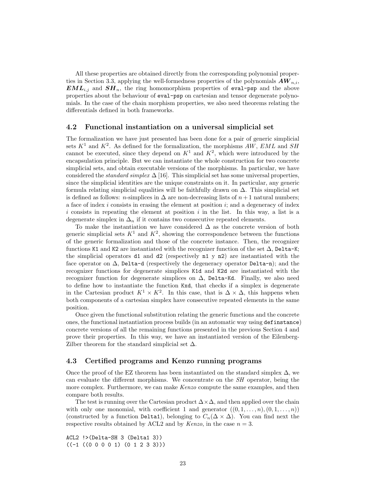All these properties are obtained directly from the corresponding polynomial properties in Section 3.3, applying the well-formedness properties of the polynomials  $AW_{n,i}$ ,  $\boldsymbol{EML}_{i,j}$  and  $\boldsymbol{SH}_n$ , the ring homomorphism properties of eval-psp and the above properties about the behaviour of eval-psp on cartesian and tensor degenerate polynomials. In the case of the chain morphism properties, we also need theorems relating the differentials defined in both frameworks.

#### 4.2 Functional instantiation on a universal simplicial set

The formalization we have just presented has been done for a pair of generic simplicial sets  $K^1$  and  $K^2$ . As defined for the formalization, the morphisms AW, EML and SH cannot be executed, since they depend on  $K^1$  and  $K^2$ , which were introduced by the encapsulation principle. But we can instantiate the whole construction for two concrete simplicial sets, and obtain executable versions of the morphisms. In particular, we have considered the *standard simplex*  $\Delta$  [16]. This simplicial set has some universal properties, since the simplicial identities are the unique constraints on it. In particular, any generic formula relating simplicial equalities will be faithfully drawn on  $\Delta$ . This simplicial set is defined as follows: n-simplices in  $\Delta$  are non-decreasing lists of  $n+1$  natural numbers; a face of index  $i$  consists in erasing the element at position  $i$ ; and a degeneracy of index  $i$  consists in repeating the element at position  $i$  in the list. In this way, a list is a degenerate simplex in  $\Delta_n$  if it contains two consecutive repeated elements.

To make the instantiation we have considered  $\Delta$  as the concrete version of both generic simplicial sets  $K^1$  and  $K^2$ , showing the correspondence between the functions of the generic formalization and those of the concrete instance. Then, the recognizer functions K1 and K2 are instantiated with the recognizer function of the set  $\Delta$ , Delta-K; the simplicial operators  $d1$  and  $d2$  (respectively  $n1$  y  $n2$ ) are instantiated with the face operator on  $\Delta$ , Delta-d (respectively the degeneracy operator Delta-n); and the recognizer functions for degenerate simplices K1d and K2d are instantiated with the recognizer function for degenerate simplices on  $\Delta$ , Delta-Kd. Finally, we also need to define how to instantiate the function Kxd, that checks if a simplex is degenerate in the Cartesian product  $K^1 \times K^2$ . In this case, that is  $\Delta \times \Delta$ , this happens when both components of a cartesian simplex have consecutive repeated elements in the same position.

Once given the functional substitution relating the generic functions and the concrete ones, the functional instantiation process builds (in an automatic way using definstance) concrete versions of all the remaining functions presented in the previous Section 4 and prove their properties. In this way, we have an instantiated version of the Eilenberg-Zilber theorem for the standard simplicial set  $\Delta$ .

#### 4.3 Certified programs and Kenzo running programs

Once the proof of the EZ theorem has been instantiated on the standard simplex  $\Delta$ , we can evaluate the different morphisms. We concentrate on the SH operator, being the more complex. Furthermore, we can make  $Kenzo$  compute the same examples, and then compare both results.

The test is running over the Cartesian product  $\Delta \times \Delta$ , and then applied over the chain with only one monomial, with coefficient 1 and generator  $((0, 1, \ldots, n), (0, 1, \ldots, n))$ (constructed by a function Delta1), belonging to  $C_n(\Delta \times \Delta)$ . You can find next the respective results obtained by ACL2 and by *Kenzo*, in the case  $n = 3$ .

ACL2 !>(Delta-SH 3 (Delta1 3)) ((-1 ((0 0 0 0 1) (0 1 2 3 3)))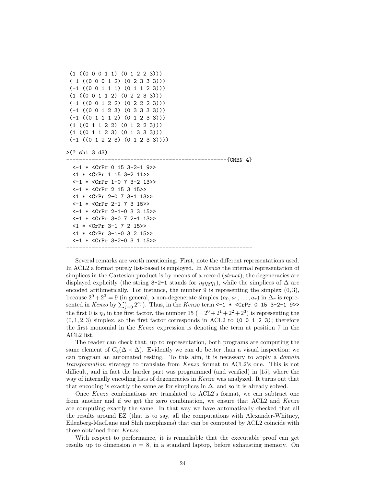```
(1 ((0 0 0 1 1) (0 1 2 2 3)))
 (-1 ((0 0 0 1 2) (0 2 3 3 3)))
 (-1 ((0 0 1 1 1) (0 1 1 2 3)))
 (1 ((0 0 1 1 2) (0 2 2 3 3)))
 (-1 ((0 0 1 2 2) (0 2 2 2 3)))
 (-1 ((0 0 1 2 3) (0 3 3 3 3)))
 (-1 ((0 1 1 1 2) (0 1 2 3 3)))
 (1 ((0 1 1 2 2) (0 1 2 2 3)))
 (1 ((0 1 1 2 3) (0 1 3 3 3)))
 (-1 ((0 1 2 2 3) (0 1 2 3 3))))
>(? shi 3 d3)
--------------------------------------------------{CMBN 4}
  <-1 * <CrPr 0 15 3-2-1 9>>
  <1 * <CrPr 1 15 3-2 11>>
  <-1 * <CrPr 1-0 7 3-2 13>>
  <-1 * <CrPr 2 15 3 15>>
  <1 * <CrPr 2-0 7 3-1 13>>
  <-1 * <CrPr 2-1 7 3 15>>
  <-1 * <CrPr 2-1-0 3 3 15>>
  <-1 * <CrPr 3-0 7 2-1 13>>
  <1 * <CrPr 3-1 7 2 15>>
  <1 * <CrPr 3-1-0 3 2 15>>
  <-1 * <CrPr 3-2-0 3 1 15>>
   ----------------------------------------------------------
```
Several remarks are worth mentioning. First, note the different representations used. In ACL2 a format purely list-based is employed. In Kenzo the internal representation of simplices in the Cartesian product is by means of a record  $(struct)$ ; the degeneracies are displayed explicitly (the string 3-2-1 stands for  $\eta_3\eta_2\eta_1$ ), while the simplices of  $\Delta$  are encoded arithmetically. For instance, the number 9 is representing the simplex  $(0, 3)$ , because  $2^0 + 2^3 = 9$  (in general, a non-degenerate simplex  $(a_0, a_1, \ldots, a_r)$  in  $\Delta_r$  is represented in Kenzo by  $\sum_{j=0}^{r} 2^{a_j}$ . Thus, in the Kenzo term <-1  $*$  <CrPr 0 15 3-2-1 9>> the first 0 is  $\eta_0$  in the first factor, the number 15 (=  $2^0 + 2^1 + 2^2 + 2^3$ ) is representing the  $(0, 1, 2, 3)$  simplex, so the first factor corresponds in ACL2 to  $(0 0 1 2 3)$ ; therefore the first monomial in the Kenzo expression is denoting the term at position 7 in the ACL2 list.

The reader can check that, up to representation, both programs are computing the same element of  $C_4(\Delta \times \Delta)$ . Evidently we can do better than a visual inspection; we can program an automated testing. To this aim, it is necessary to apply a domain transformation strategy to translate from Kenzo format to ACL2's one. This is not difficult, and in fact the harder part was programmed (and verified) in [15], where the way of internally encoding lists of degeneracies in Kenzo was analyzed. It turns out that that encoding is exactly the same as for simplices in  $\Delta$ , and so it is already solved.

Once Kenzo combinations are translated to ACL2's format, we can subtract one from another and if we get the zero combination, we ensure that ACL2 and Kenzo are computing exactly the same. In that way we have automatically checked that all the results around EZ (that is to say, all the computations with Alexander-Whitney, Eilenberg-MacLane and Shih morphisms) that can be computed by ACL2 coincide with those obtained from Kenzo.

With respect to performance, it is remarkable that the executable proof can get results up to dimension  $n = 8$ , in a standard laptop, before exhausting memory. On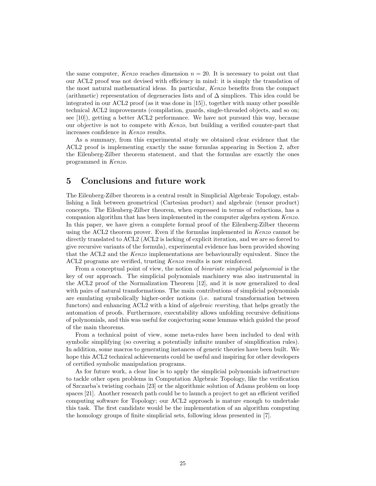the same computer, Kenzo reaches dimension  $n = 20$ . It is necessary to point out that our ACL2 proof was not devised with efficiency in mind: it is simply the translation of the most natural mathematical ideas. In particular, Kenzo benefits from the compact (arithmetic) representation of degeneracies lists and of ∆ simplices. This idea could be integrated in our ACL2 proof (as it was done in [15]), together with many other possible technical ACL2 improvements (compilation, guards, single-threaded objects, and so on; see [10]), getting a better ACL2 performance. We have not pursued this way, because our objective is not to compete with Kenzo, but building a verified counter-part that increases confidence in Kenzo results.

As a summary, from this experimental study we obtained clear evidence that the ACL2 proof is implementing exactly the same formulas appearing in Section 2, after the Eilenberg-Zilber theorem statement, and that the formulas are exactly the ones programmed in Kenzo.

## 5 Conclusions and future work

The Eilenberg-Zilber theorem is a central result in Simplicial Algebraic Topology, establishing a link between geometrical (Cartesian product) and algebraic (tensor product) concepts. The Eilenberg-Zilber theorem, when expressed in terms of reductions, has a companion algorithm that has been implemented in the computer algebra system Kenzo. In this paper, we have given a complete formal proof of the Eilenberg-Zilber theorem using the ACL2 theorem prover. Even if the formulas implemented in Kenzo cannot be directly translated to ACL2 (ACL2 is lacking of explicit iteration, and we are so forced to give recursive variants of the formula), experimental evidence has been provided showing that the ACL2 and the Kenzo implementations are behaviourally equivalent. Since the ACL2 programs are verified, trusting Kenzo results is now reinforced.

From a conceptual point of view, the notion of *bivariate simplicial polynomial* is the key of our approach. The simplicial polynomials machinery was also instrumental in the ACL2 proof of the Normalization Theorem [12], and it is now generalized to deal with pairs of natural transformations. The main contributions of simplicial polynomials are emulating symbolically higher-order notions (i.e. natural transformation between functors) and enhancing ACL2 with a kind of algebraic rewriting, that helps greatly the automation of proofs. Furthermore, executability allows unfolding recursive definitions of polynomials, and this was useful for conjecturing some lemmas which guided the proof of the main theorems.

From a technical point of view, some meta-rules have been included to deal with symbolic simplifying (so covering a potentially infinite number of simplification rules). In addition, some macros to generating instances of generic theories have been built. We hope this ACL2 technical achievements could be useful and inspiring for other developers of certified symbolic manipulation programs.

As for future work, a clear line is to apply the simplicial polynomials infrastructure to tackle other open problems in Computation Algebraic Topology, like the verification of Szczarba's twisting cochain [23] or the algorithmic solution of Adams problem on loop spaces [21]. Another research path could be to launch a project to get an efficient verified computing software for Topology; our ACL2 approach is mature enough to undertake this task. The first candidate would be the implementation of an algorithm computing the homology groups of finite simplicial sets, following ideas presented in [7].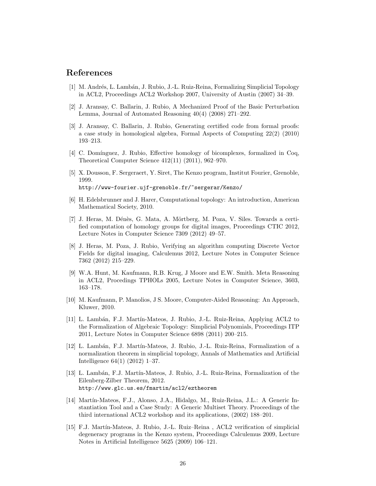## References

- [1] M. Andrés, L. Lambán, J. Rubio, J.-L. Ruiz-Reina, Formalizing Simplicial Topology in ACL2, Proceedings ACL2 Workshop 2007, University of Austin (2007) 34–39.
- [2] J. Aransay, C. Ballarin, J. Rubio, A Mechanized Proof of the Basic Perturbation Lemma, Journal of Automated Reasoning 40(4) (2008) 271–292.
- [3] J. Aransay, C. Ballarin, J. Rubio, Generating certified code from formal proofs: a case study in homological algebra, Formal Aspects of Computing 22(2) (2010) 193–213.
- [4] C. Domínguez, J. Rubio, Effective homology of bicomplexes, formalized in Coq, Theoretical Computer Science 412(11) (2011), 962–970.
- [5] X. Dousson, F. Sergeraert, Y. Siret, The Kenzo program, Institut Fourier, Grenoble, 1999. http://www-fourier.ujf-grenoble.fr/~sergerar/Kenzo/
- [6] H. Edelsbrunner and J. Harer, Computational topology: An introduction, American Mathematical Society, 2010.
- [7] J. Heras, M. Dénès, G. Mata, A. Mörtberg, M. Poza, V. Siles. Towards a certified computation of homology groups for digital images, Proceedings CTIC 2012, Lecture Notes in Computer Science 7309 (2012) 49–57.
- [8] J. Heras, M. Poza, J. Rubio, Verifying an algorithm computing Discrete Vector Fields for digital imaging, Calculemus 2012, Lecture Notes in Computer Science 7362 (2012) 215–229.
- [9] W.A. Hunt, M. Kaufmann, R.B. Krug, J Moore and E.W. Smith. Meta Reasoning in ACL2, Procedings TPHOLs 2005, Lecture Notes in Computer Science, 3603, 163–178.
- [10] M. Kaufmann, P. Manolios, J S. Moore, Computer-Aided Reasoning: An Approach, Kluwer, 2010.
- [11] L. Lamb´an, F.J. Mart´ın-Mateos, J. Rubio, J.-L. Ruiz-Reina, Applying ACL2 to the Formalization of Algebraic Topology: Simplicial Polynomials, Proceedings ITP 2011, Lecture Notes in Computer Science 6898 (2011) 200–215.
- [12] L. Lamb´an, F.J. Mart´ın-Mateos, J. Rubio, J.-L. Ruiz-Reina, Formalization of a normalization theorem in simplicial topology, Annals of Mathematics and Artificial Intelligence 64(1) (2012) 1–37.
- [13] L. Lambán, F.J. Martín-Mateos, J. Rubio, J.-L. Ruiz-Reina, Formalization of the Eilenberg-Zilber Theorem, 2012. http://www.glc.us.es/fmartin/acl2/eztheorem
- [14] Mart´ın-Mateos, F.J., Alonso, J.A., Hidalgo, M., Ruiz-Reina, J.L.: A Generic Instantiation Tool and a Case Study: A Generic Multiset Theory. Proceedings of the third international ACL2 workshop and its applications, (2002) 188–201.
- [15] F.J. Mart´ın-Mateos, J. Rubio, J.-L. Ruiz–Reina , ACL2 verification of simplicial degeneracy programs in the Kenzo system, Proceedings Calculemus 2009, Lecture Notes in Artificial Intelligence 5625 (2009) 106–121.